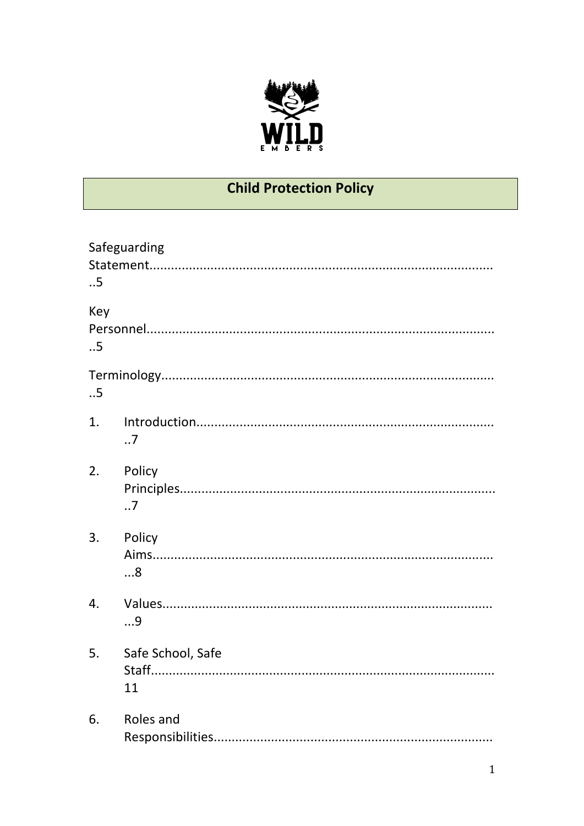

# **Child Protection Policy**

| .5        | Safeguarding            |
|-----------|-------------------------|
| Key<br>.5 |                         |
| .5        |                         |
| 1.        | .7                      |
| 2.        | Policy<br>.7            |
| 3.        | Policy<br>8             |
| 4.        | 9                       |
| 5.        | Safe School, Safe<br>11 |
| 6.        | Roles and               |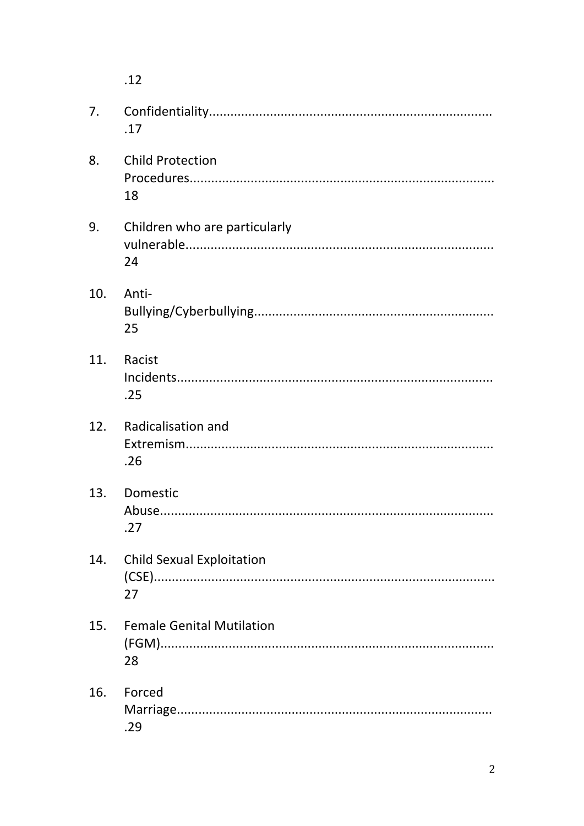$.12$ 7.  $.17$ 8. **Child Protection** 18 Children who are particularly 9. 24 Anti- $10.$ 25 11. Racist  $.25$ **Radicalisation and**  $12.$  $.26$  $13<sub>1</sub>$ Domestic  $.27$ 14. **Child Sexual Exploitation** 27 15. **Female Genital Mutilation** 28 16. Forced .29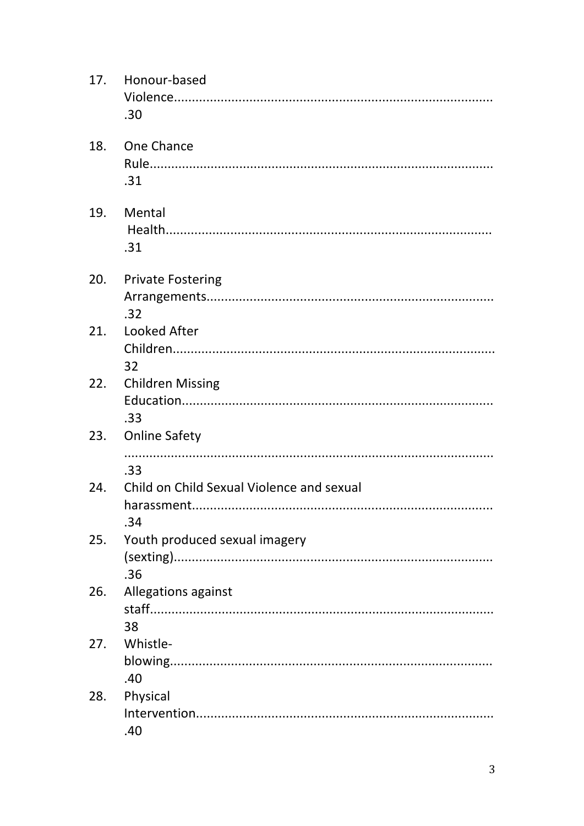|     | 17. Honour-based<br>.30                          |
|-----|--------------------------------------------------|
|     | 18. One Chance<br>.31                            |
|     | 19. Mental<br>.31                                |
|     | 20. Private Fostering<br>.32                     |
| 21. | Looked After<br>32                               |
|     | 22. Children Missing<br>.33                      |
| 23. | <b>Online Safety</b>                             |
|     | .33                                              |
| 24. | Child on Child Sexual Violence and sexual<br>.34 |
| 25. | Youth produced sexual imagery<br>.36             |
| 26. | Allegations against<br>38                        |
| 27. | Whistle-                                         |
|     | .40                                              |
| 28. | Physical                                         |
|     | .40                                              |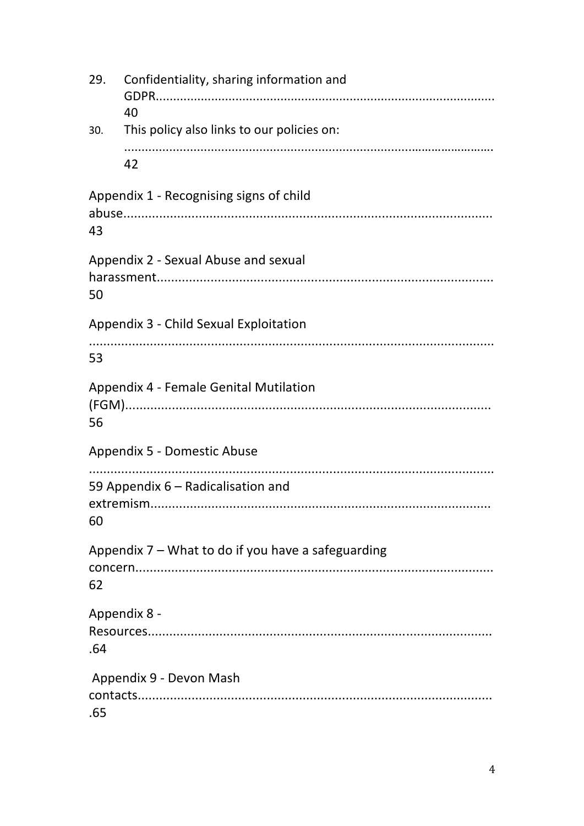| 29. | Confidentiality, sharing information and<br>40     |  |
|-----|----------------------------------------------------|--|
| 30. | This policy also links to our policies on:         |  |
|     | 42                                                 |  |
| 43  | Appendix 1 - Recognising signs of child            |  |
| 50  | Appendix 2 - Sexual Abuse and sexual               |  |
|     | Appendix 3 - Child Sexual Exploitation             |  |
| 53  |                                                    |  |
| 56  | Appendix 4 - Female Genital Mutilation             |  |
|     | Appendix 5 - Domestic Abuse                        |  |
| 60  | 59 Appendix 6 – Radicalisation and                 |  |
| 62  | Appendix 7 – What to do if you have a safeguarding |  |
| .64 | Appendix 8 -                                       |  |
| .65 | Appendix 9 - Devon Mash                            |  |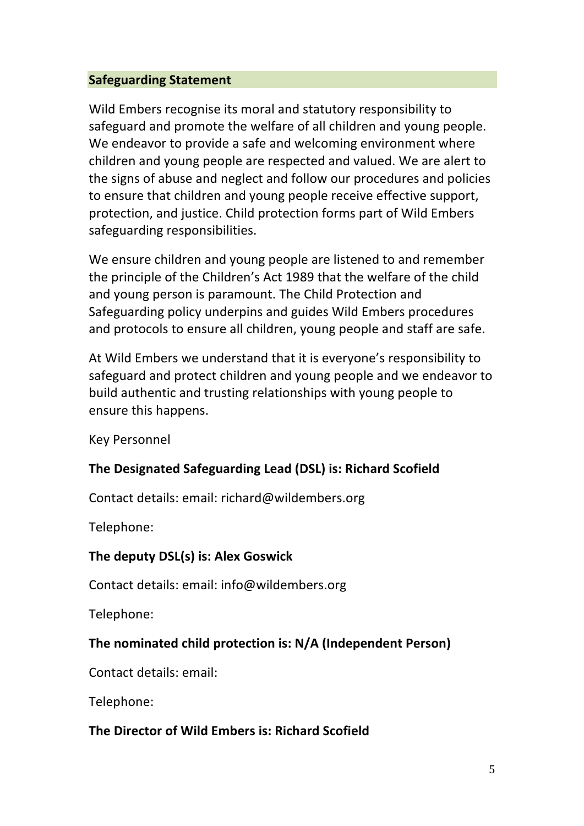## **Safeguarding Statement**

Wild Embers recognise its moral and statutory responsibility to safeguard and promote the welfare of all children and young people. We endeavor to provide a safe and welcoming environment where children and young people are respected and valued. We are alert to the signs of abuse and neglect and follow our procedures and policies to ensure that children and young people receive effective support, protection, and justice. Child protection forms part of Wild Embers safeguarding responsibilities.

We ensure children and young people are listened to and remember the principle of the Children's Act 1989 that the welfare of the child and young person is paramount. The Child Protection and Safeguarding policy underpins and guides Wild Embers procedures and protocols to ensure all children, young people and staff are safe.

At Wild Embers we understand that it is everyone's responsibility to safeguard and protect children and young people and we endeavor to build authentic and trusting relationships with young people to ensure this happens.

Key Personnel

# **The Designated Safeguarding Lead (DSL) is: Richard Scofield**

Contact details: email: richard@wildembers.org

Telephone: 

## The deputy DSL(s) is: Alex Goswick

Contact details: email: info@wildembers.org

Telephone: 

# The nominated child protection is: N/A (Independent Person)

Contact details: email:

Telephone: 

# **The Director of Wild Embers is: Richard Scofield**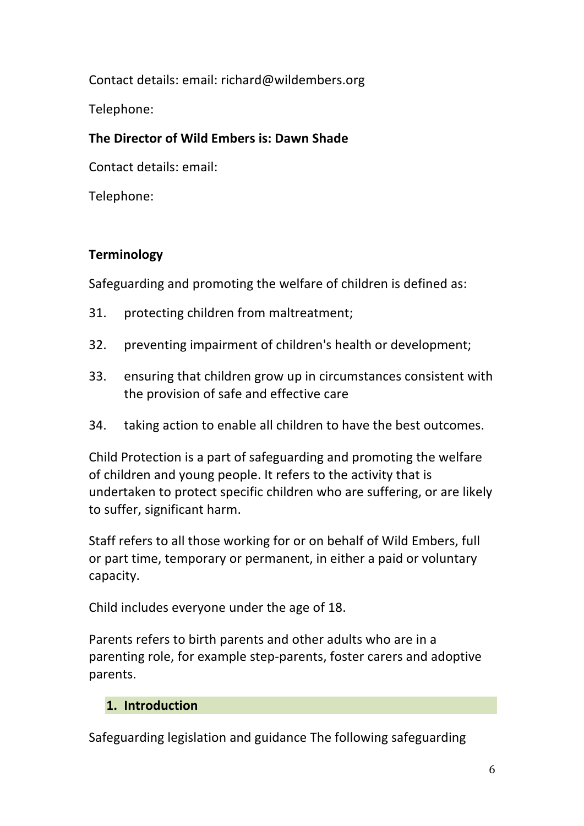Contact details: email: richard@wildembers.org

Telephone: 

## **The Director of Wild Embers is: Dawn Shade**

Contact details: email:

Telephone: 

## **Terminology**

Safeguarding and promoting the welfare of children is defined as:

- 31. protecting children from maltreatment;
- 32. preventing impairment of children's health or development;
- 33. ensuring that children grow up in circumstances consistent with the provision of safe and effective care
- 34. taking action to enable all children to have the best outcomes.

Child Protection is a part of safeguarding and promoting the welfare of children and young people. It refers to the activity that is undertaken to protect specific children who are suffering, or are likely to suffer, significant harm.

Staff refers to all those working for or on behalf of Wild Embers, full or part time, temporary or permanent, in either a paid or voluntary capacity. 

Child includes everyone under the age of 18.

Parents refers to birth parents and other adults who are in a parenting role, for example step-parents, foster carers and adoptive parents.

# **1. Introduction**

Safeguarding legislation and guidance The following safeguarding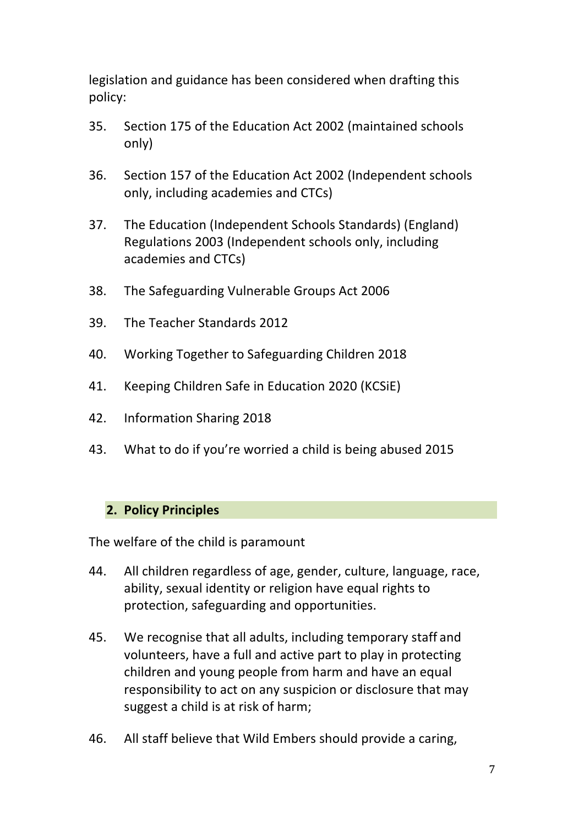legislation and guidance has been considered when drafting this policy: 

- 35. Section 175 of the Education Act 2002 (maintained schools only)
- 36. Section 157 of the Education Act 2002 (Independent schools only, including academies and CTCs)
- 37. The Education (Independent Schools Standards) (England) Regulations 2003 (Independent schools only, including academies and CTCs)
- 38. The Safeguarding Vulnerable Groups Act 2006
- 39. The Teacher Standards 2012
- 40. Working Together to Safeguarding Children 2018
- 41. Keeping Children Safe in Education 2020 (KCSiE)
- 42. Information Sharing 2018
- 43. What to do if you're worried a child is being abused 2015

#### **2. Policy Principles**

The welfare of the child is paramount

- 44. All children regardless of age, gender, culture, language, race, ability, sexual identity or religion have equal rights to protection, safeguarding and opportunities.
- 45. We recognise that all adults, including temporary staff and volunteers, have a full and active part to play in protecting children and young people from harm and have an equal responsibility to act on any suspicion or disclosure that may suggest a child is at risk of harm;
- 46. All staff believe that Wild Embers should provide a caring,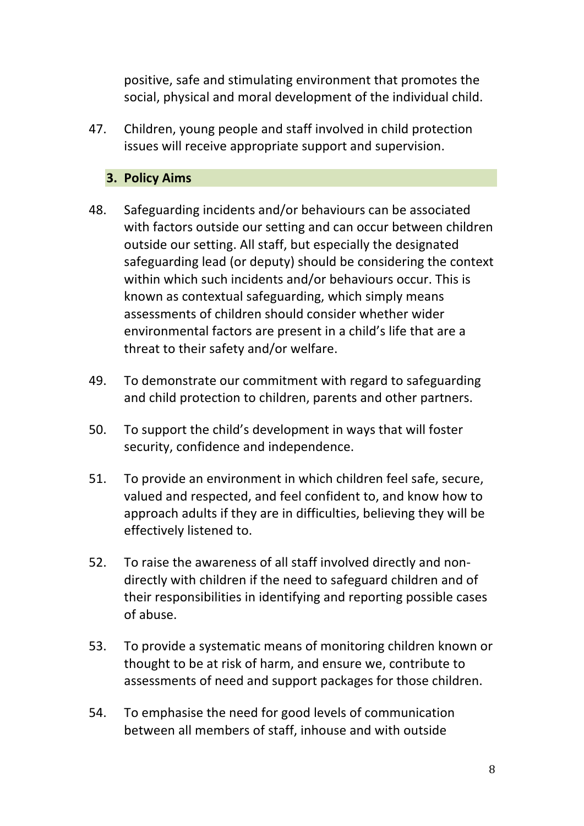positive, safe and stimulating environment that promotes the social, physical and moral development of the individual child.

47. Children, young people and staff involved in child protection issues will receive appropriate support and supervision.

## **3. Policy Aims**

- 48. Safeguarding incidents and/or behaviours can be associated with factors outside our setting and can occur between children outside our setting. All staff, but especially the designated safeguarding lead (or deputy) should be considering the context within which such incidents and/or behaviours occur. This is known as contextual safeguarding, which simply means assessments of children should consider whether wider environmental factors are present in a child's life that are a threat to their safety and/or welfare.
- 49. To demonstrate our commitment with regard to safeguarding and child protection to children, parents and other partners.
- 50. To support the child's development in ways that will foster security, confidence and independence.
- 51. To provide an environment in which children feel safe, secure, valued and respected, and feel confident to, and know how to approach adults if they are in difficulties, believing they will be effectively listened to.
- 52. To raise the awareness of all staff involved directly and nondirectly with children if the need to safeguard children and of their responsibilities in identifying and reporting possible cases of abuse.
- 53. To provide a systematic means of monitoring children known or thought to be at risk of harm, and ensure we, contribute to assessments of need and support packages for those children.
- 54. To emphasise the need for good levels of communication between all members of staff, inhouse and with outside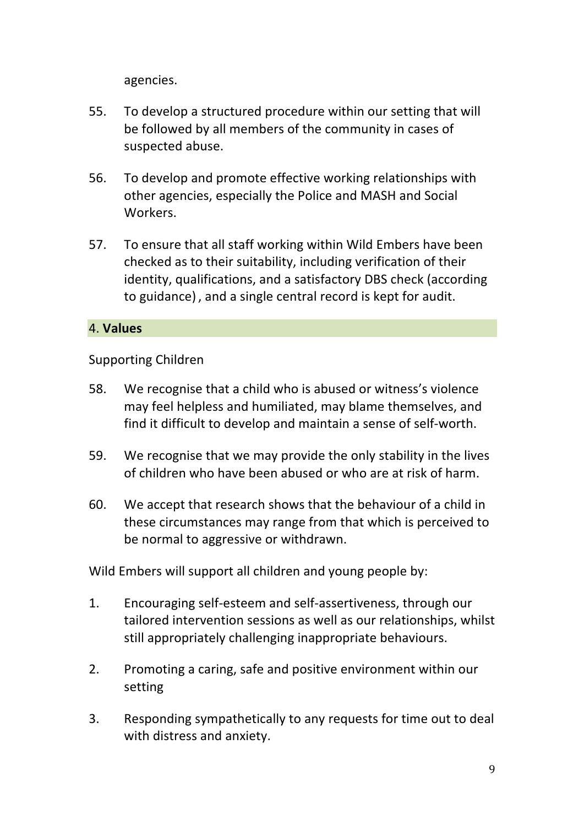agencies. 

- 55. To develop a structured procedure within our setting that will be followed by all members of the community in cases of suspected abuse.
- 56. To develop and promote effective working relationships with other agencies, especially the Police and MASH and Social Workers.
- 57. To ensure that all staff working within Wild Embers have been checked as to their suitability, including verification of their identity, qualifications, and a satisfactory DBS check (according to guidance), and a single central record is kept for audit.

## 4. **Values**

Supporting Children

- 58. We recognise that a child who is abused or witness's violence may feel helpless and humiliated, may blame themselves, and find it difficult to develop and maintain a sense of self-worth.
- 59. We recognise that we may provide the only stability in the lives of children who have been abused or who are at risk of harm.
- 60. We accept that research shows that the behaviour of a child in these circumstances may range from that which is perceived to be normal to aggressive or withdrawn.

Wild Embers will support all children and young people by:

- 1. Encouraging self-esteem and self-assertiveness, through our tailored intervention sessions as well as our relationships, whilst still appropriately challenging inappropriate behaviours.
- 2. Promoting a caring, safe and positive environment within our setting
- 3. Responding sympathetically to any requests for time out to deal with distress and anxiety.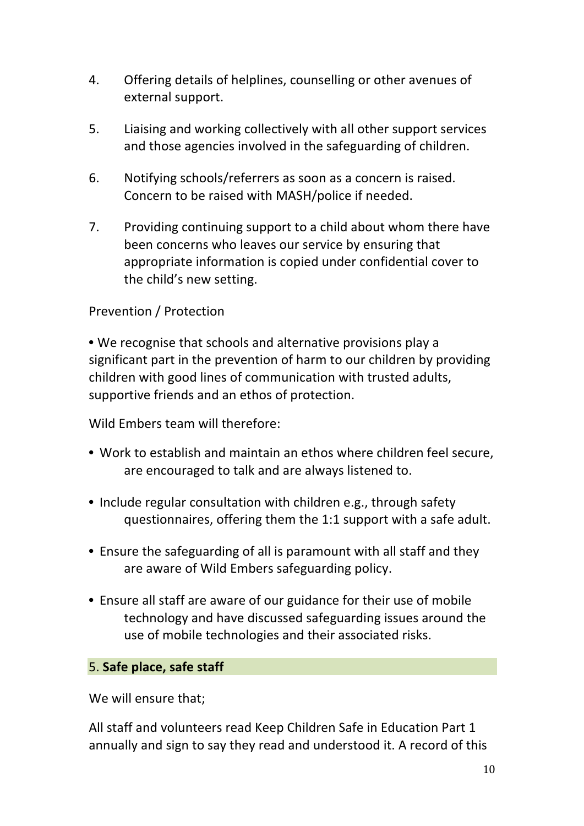- 4. Offering details of helplines, counselling or other avenues of external support.
- 5. Liaising and working collectively with all other support services and those agencies involved in the safeguarding of children.
- 6. Notifying schools/referrers as soon as a concern is raised. Concern to be raised with MASH/police if needed.
- 7. Providing continuing support to a child about whom there have been concerns who leaves our service by ensuring that appropriate information is copied under confidential cover to the child's new setting.

## Prevention / Protection

• We recognise that schools and alternative provisions play a significant part in the prevention of harm to our children by providing children with good lines of communication with trusted adults, supportive friends and an ethos of protection.

Wild Embers team will therefore:

- Work to establish and maintain an ethos where children feel secure, are encouraged to talk and are always listened to.
- Include regular consultation with children e.g., through safety questionnaires, offering them the 1:1 support with a safe adult.
- Ensure the safeguarding of all is paramount with all staff and they are aware of Wild Embers safeguarding policy.
- Ensure all staff are aware of our guidance for their use of mobile technology and have discussed safeguarding issues around the use of mobile technologies and their associated risks.

#### 5. **Safe place, safe staff**

We will ensure that;

All staff and volunteers read Keep Children Safe in Education Part 1 annually and sign to say they read and understood it. A record of this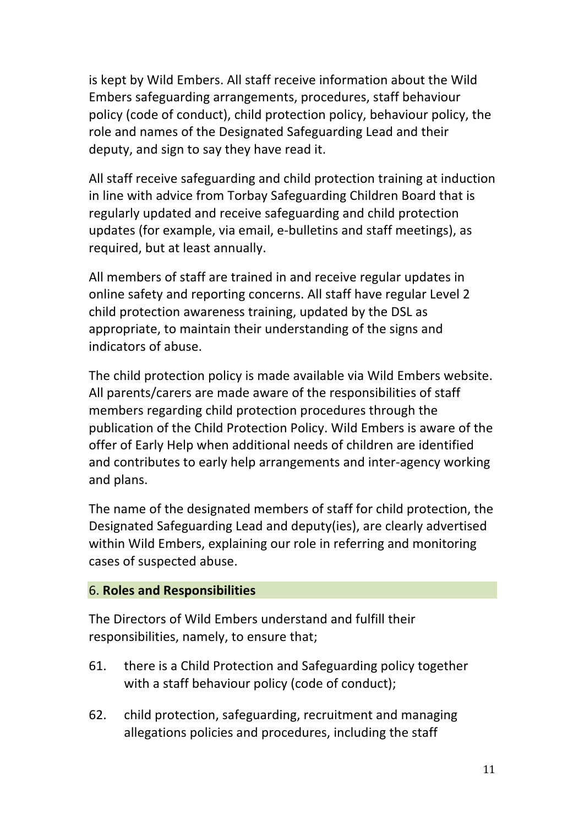is kept by Wild Embers. All staff receive information about the Wild Embers safeguarding arrangements, procedures, staff behaviour policy (code of conduct), child protection policy, behaviour policy, the role and names of the Designated Safeguarding Lead and their deputy, and sign to say they have read it.

All staff receive safeguarding and child protection training at induction in line with advice from Torbay Safeguarding Children Board that is regularly updated and receive safeguarding and child protection updates (for example, via email, e-bulletins and staff meetings), as required, but at least annually.

All members of staff are trained in and receive regular updates in online safety and reporting concerns. All staff have regular Level 2 child protection awareness training, updated by the DSL as appropriate, to maintain their understanding of the signs and indicators of abuse.

The child protection policy is made available via Wild Embers website. All parents/carers are made aware of the responsibilities of staff members regarding child protection procedures through the publication of the Child Protection Policy. Wild Embers is aware of the offer of Early Help when additional needs of children are identified and contributes to early help arrangements and inter-agency working and plans. 

The name of the designated members of staff for child protection, the Designated Safeguarding Lead and deputy(ies), are clearly advertised within Wild Embers, explaining our role in referring and monitoring cases of suspected abuse.

#### 6. **Roles and Responsibilities**

The Directors of Wild Embers understand and fulfill their responsibilities, namely, to ensure that;

- 61. there is a Child Protection and Safeguarding policy together with a staff behaviour policy (code of conduct);
- 62. child protection, safeguarding, recruitment and managing allegations policies and procedures, including the staff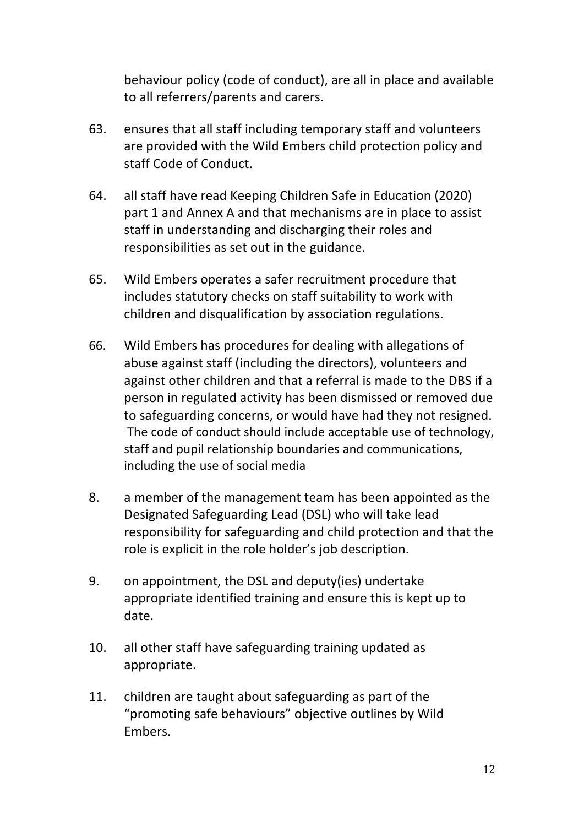behaviour policy (code of conduct), are all in place and available to all referrers/parents and carers.

- 63. ensures that all staff including temporary staff and volunteers are provided with the Wild Embers child protection policy and staff Code of Conduct.
- 64. all staff have read Keeping Children Safe in Education (2020) part 1 and Annex A and that mechanisms are in place to assist staff in understanding and discharging their roles and responsibilities as set out in the guidance.
- 65. Wild Embers operates a safer recruitment procedure that includes statutory checks on staff suitability to work with children and disqualification by association regulations.
- 66. Wild Embers has procedures for dealing with allegations of abuse against staff (including the directors), volunteers and against other children and that a referral is made to the DBS if a person in regulated activity has been dismissed or removed due to safeguarding concerns, or would have had they not resigned. The code of conduct should include acceptable use of technology, staff and pupil relationship boundaries and communications, including the use of social media
- 8. a member of the management team has been appointed as the Designated Safeguarding Lead (DSL) who will take lead responsibility for safeguarding and child protection and that the role is explicit in the role holder's job description.
- 9. on appointment, the DSL and deputy(ies) undertake appropriate identified training and ensure this is kept up to date.
- 10. all other staff have safeguarding training updated as appropriate.
- 11. children are taught about safeguarding as part of the "promoting safe behaviours" objective outlines by Wild Embers.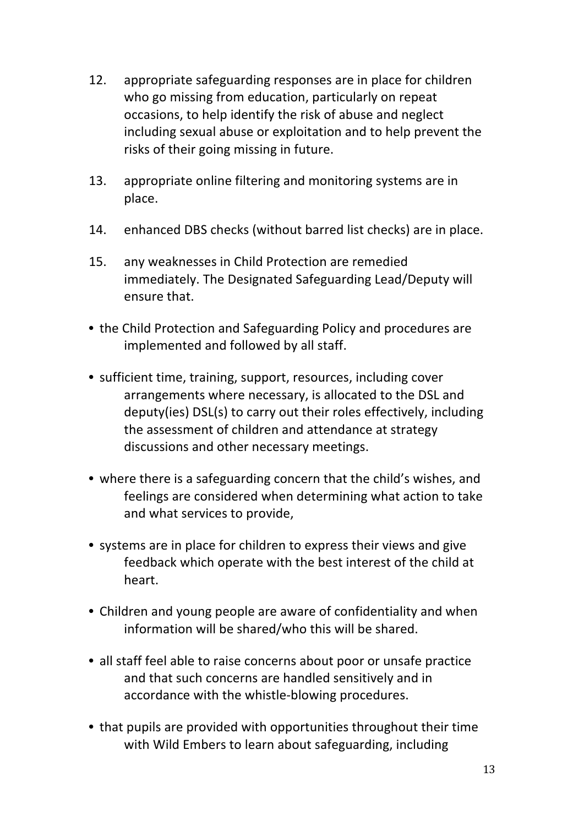- 12. appropriate safeguarding responses are in place for children who go missing from education, particularly on repeat occasions, to help identify the risk of abuse and neglect including sexual abuse or exploitation and to help prevent the risks of their going missing in future.
- 13. appropriate online filtering and monitoring systems are in place.
- 14. enhanced DBS checks (without barred list checks) are in place.
- 15. any weaknesses in Child Protection are remedied immediately. The Designated Safeguarding Lead/Deputy will ensure that.
- the Child Protection and Safeguarding Policy and procedures are implemented and followed by all staff.
- sufficient time, training, support, resources, including cover arrangements where necessary, is allocated to the DSL and deputy(ies) DSL(s) to carry out their roles effectively, including the assessment of children and attendance at strategy discussions and other necessary meetings.
- where there is a safeguarding concern that the child's wishes, and feelings are considered when determining what action to take and what services to provide,
- systems are in place for children to express their views and give feedback which operate with the best interest of the child at heart.
- Children and young people are aware of confidentiality and when information will be shared/who this will be shared.
- all staff feel able to raise concerns about poor or unsafe practice and that such concerns are handled sensitively and in accordance with the whistle-blowing procedures.
- that pupils are provided with opportunities throughout their time with Wild Embers to learn about safeguarding, including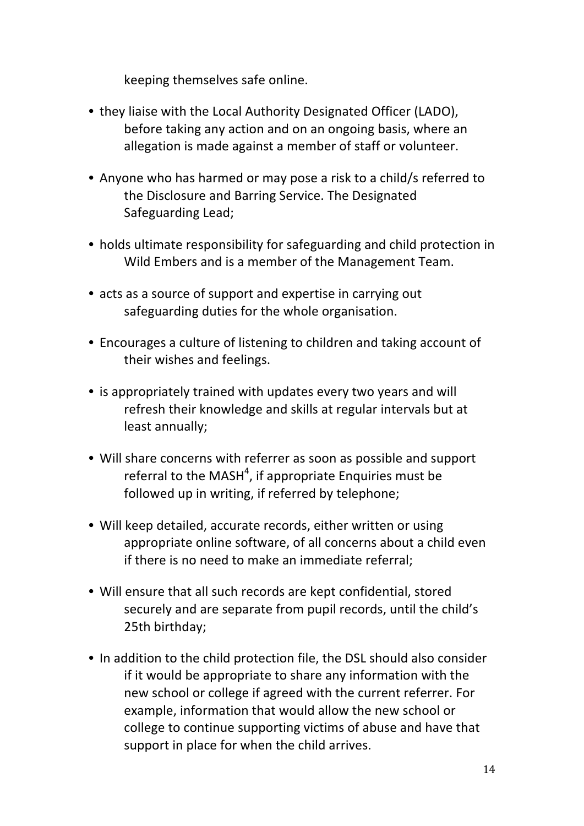keeping themselves safe online.

- they liaise with the Local Authority Designated Officer (LADO), before taking any action and on an ongoing basis, where an allegation is made against a member of staff or volunteer.
- Anyone who has harmed or may pose a risk to a child/s referred to the Disclosure and Barring Service. The Designated Safeguarding Lead;
- holds ultimate responsibility for safeguarding and child protection in Wild Embers and is a member of the Management Team.
- acts as a source of support and expertise in carrying out safeguarding duties for the whole organisation.
- Encourages a culture of listening to children and taking account of their wishes and feelings.
- is appropriately trained with updates every two years and will refresh their knowledge and skills at regular intervals but at least annually;
- Will share concerns with referrer as soon as possible and support referral to the MASH<sup>4</sup>, if appropriate Enquiries must be followed up in writing, if referred by telephone;
- Will keep detailed, accurate records, either written or using appropriate online software, of all concerns about a child even if there is no need to make an immediate referral;
- Will ensure that all such records are kept confidential, stored securely and are separate from pupil records, until the child's 25th birthday;
- In addition to the child protection file, the DSL should also consider if it would be appropriate to share any information with the new school or college if agreed with the current referrer. For example, information that would allow the new school or college to continue supporting victims of abuse and have that support in place for when the child arrives.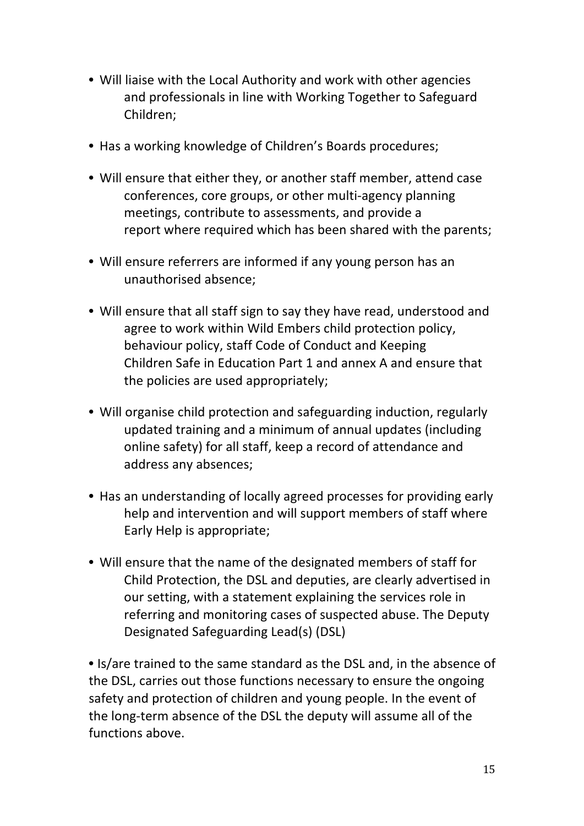- Will liaise with the Local Authority and work with other agencies and professionals in line with Working Together to Safeguard Children;
- Has a working knowledge of Children's Boards procedures;
- Will ensure that either they, or another staff member, attend case conferences, core groups, or other multi-agency planning meetings, contribute to assessments, and provide a report where required which has been shared with the parents;
- Will ensure referrers are informed if any young person has an unauthorised absence;
- Will ensure that all staff sign to say they have read, understood and agree to work within Wild Embers child protection policy, behaviour policy, staff Code of Conduct and Keeping Children Safe in Education Part 1 and annex A and ensure that the policies are used appropriately;
- Will organise child protection and safeguarding induction, regularly updated training and a minimum of annual updates (including online safety) for all staff, keep a record of attendance and address any absences;
- Has an understanding of locally agreed processes for providing early help and intervention and will support members of staff where Early Help is appropriate;
- Will ensure that the name of the designated members of staff for Child Protection, the DSL and deputies, are clearly advertised in our setting, with a statement explaining the services role in referring and monitoring cases of suspected abuse. The Deputy Designated Safeguarding Lead(s) (DSL)

• Is/are trained to the same standard as the DSL and, in the absence of the DSL, carries out those functions necessary to ensure the ongoing safety and protection of children and young people. In the event of the long-term absence of the DSL the deputy will assume all of the functions above.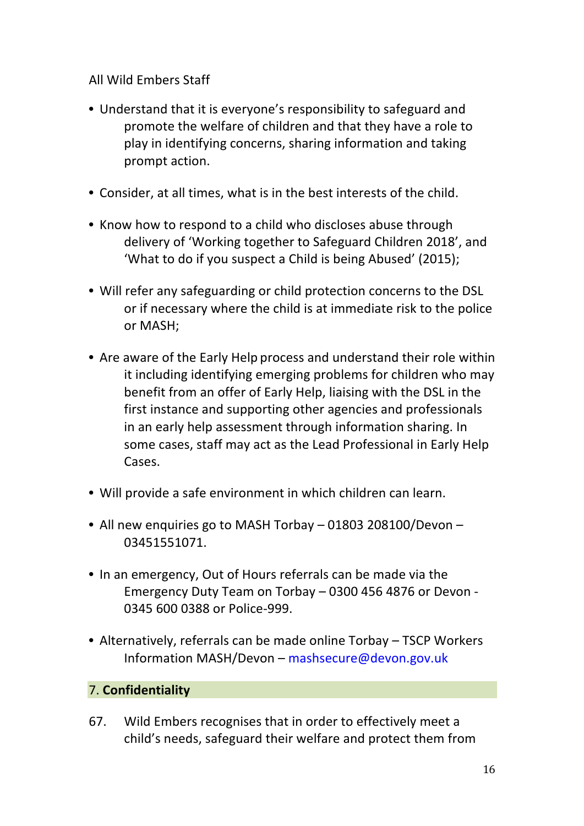All Wild Embers Staff 

- Understand that it is everyone's responsibility to safeguard and promote the welfare of children and that they have a role to play in identifying concerns, sharing information and taking prompt action.
- Consider, at all times, what is in the best interests of the child.
- Know how to respond to a child who discloses abuse through delivery of 'Working together to Safeguard Children 2018', and 'What to do if you suspect a Child is being Abused' (2015);
- Will refer any safeguarding or child protection concerns to the DSL or if necessary where the child is at immediate risk to the police or MASH;
- Are aware of the Early Help process and understand their role within it including identifying emerging problems for children who may benefit from an offer of Early Help, liaising with the DSL in the first instance and supporting other agencies and professionals in an early help assessment through information sharing. In some cases, staff may act as the Lead Professional in Early Help Cases.
- Will provide a safe environment in which children can learn.
- All new enquiries go to MASH Torbay 01803 208100/Devon -03451551071.
- In an emergency, Out of Hours referrals can be made via the Emergency Duty Team on Torbay - 0300 456 4876 or Devon -0345 600 0388 or Police-999.
- Alternatively, referrals can be made online Torbay TSCP Workers Information MASH/Devon – mashsecure@devon.gov.uk

# 7. **Confidentiality**

67. Wild Embers recognises that in order to effectively meet a child's needs, safeguard their welfare and protect them from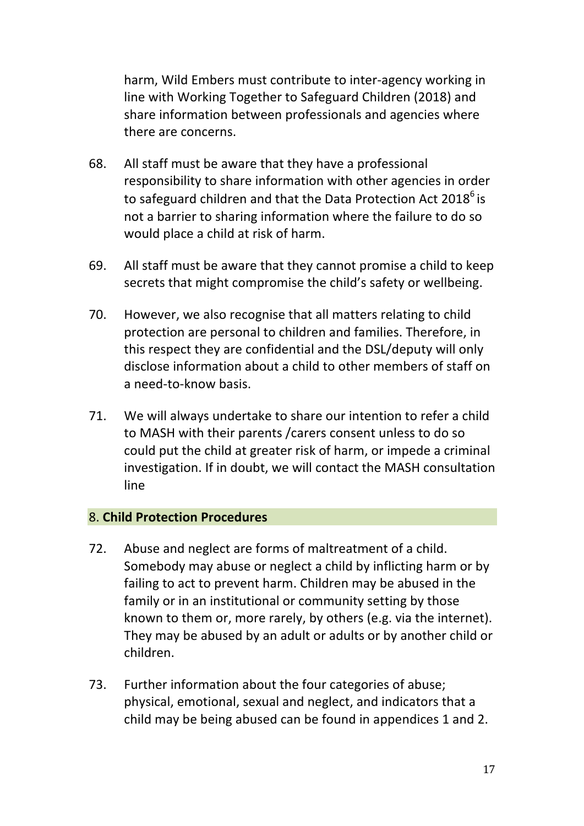harm, Wild Embers must contribute to inter-agency working in line with Working Together to Safeguard Children (2018) and share information between professionals and agencies where there are concerns.

- 68. All staff must be aware that they have a professional responsibility to share information with other agencies in order to safeguard children and that the Data Protection Act 2018<sup>6</sup> is not a barrier to sharing information where the failure to do so would place a child at risk of harm.
- 69. All staff must be aware that they cannot promise a child to keep secrets that might compromise the child's safety or wellbeing.
- 70. However, we also recognise that all matters relating to child protection are personal to children and families. Therefore, in this respect they are confidential and the DSL/deputy will only disclose information about a child to other members of staff on a need-to-know basis.
- 71. We will always undertake to share our intention to refer a child to MASH with their parents / carers consent unless to do so could put the child at greater risk of harm, or impede a criminal investigation. If in doubt, we will contact the MASH consultation line

#### 8. **Child Protection Procedures**

- 72. Abuse and neglect are forms of maltreatment of a child. Somebody may abuse or neglect a child by inflicting harm or by failing to act to prevent harm. Children may be abused in the family or in an institutional or community setting by those known to them or, more rarely, by others (e.g. via the internet). They may be abused by an adult or adults or by another child or children.
- 73. Further information about the four categories of abuse; physical, emotional, sexual and neglect, and indicators that a child may be being abused can be found in appendices 1 and 2.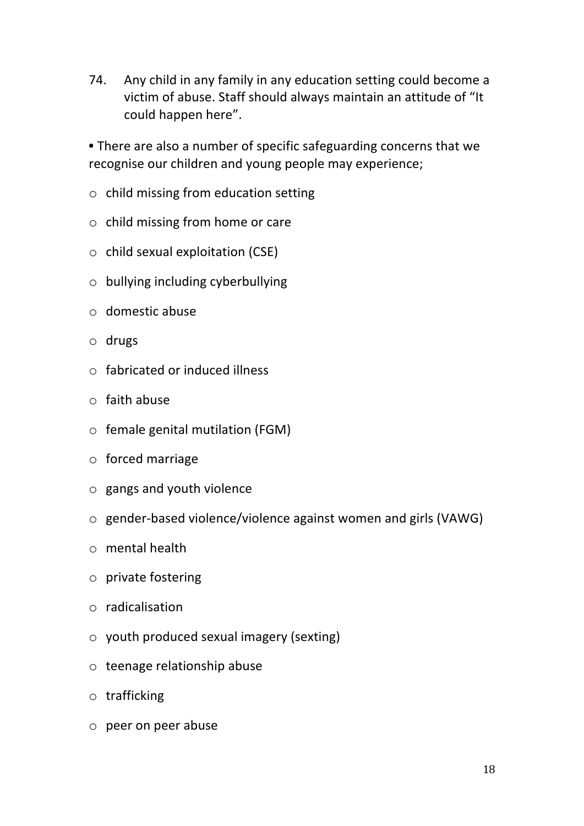74. Any child in any family in any education setting could become a victim of abuse. Staff should always maintain an attitude of "It could happen here".

• There are also a number of specific safeguarding concerns that we recognise our children and young people may experience;

- $\circ$  child missing from education setting
- $\circ$  child missing from home or care
- $\circ$  child sexual exploitation (CSE)
- $\circ$  bullying including cyberbullying
- $\circ$  domestic abuse
- o drugs
- $\circ$  fabricated or induced illness
- $\circ$  faith abuse
- $\circ$  female genital mutilation (FGM)
- $\circ$  forced marriage
- $\circ$  gangs and youth violence
- $\circ$  gender-based violence/violence against women and girls (VAWG)
- $\circ$  mental health
- $\circ$  private fostering
- o radicalisation
- $\circ$  youth produced sexual imagery (sexting)
- $\circ$  teenage relationship abuse
- o trafficking
- $\circ$  peer on peer abuse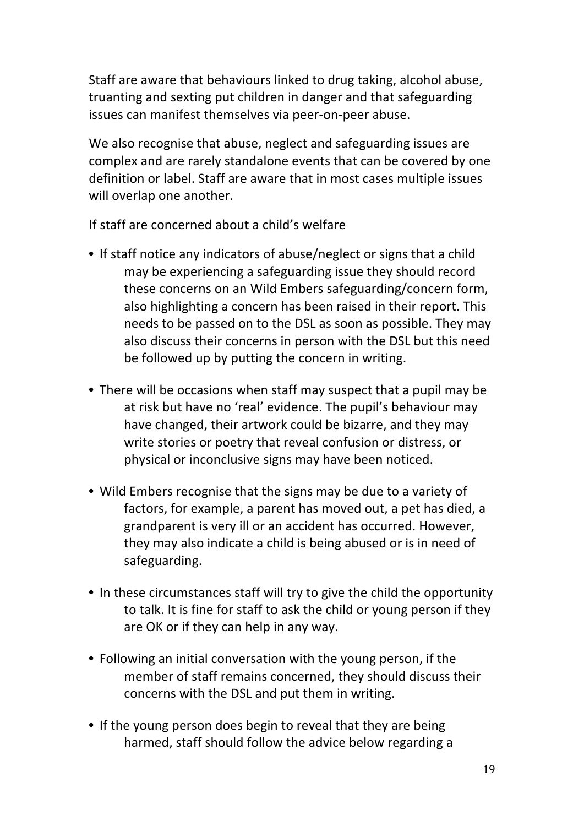Staff are aware that behaviours linked to drug taking, alcohol abuse, truanting and sexting put children in danger and that safeguarding issues can manifest themselves via peer-on-peer abuse.

We also recognise that abuse, neglect and safeguarding issues are complex and are rarely standalone events that can be covered by one definition or label. Staff are aware that in most cases multiple issues will overlap one another.

If staff are concerned about a child's welfare

- If staff notice any indicators of abuse/neglect or signs that a child may be experiencing a safeguarding issue they should record these concerns on an Wild Embers safeguarding/concern form, also highlighting a concern has been raised in their report. This needs to be passed on to the DSL as soon as possible. They may also discuss their concerns in person with the DSL but this need be followed up by putting the concern in writing.
- There will be occasions when staff may suspect that a pupil may be at risk but have no 'real' evidence. The pupil's behaviour may have changed, their artwork could be bizarre, and they may write stories or poetry that reveal confusion or distress, or physical or inconclusive signs may have been noticed.
- Wild Embers recognise that the signs may be due to a variety of factors, for example, a parent has moved out, a pet has died, a grandparent is very ill or an accident has occurred. However, they may also indicate a child is being abused or is in need of safeguarding.
- In these circumstances staff will try to give the child the opportunity to talk. It is fine for staff to ask the child or young person if they are OK or if they can help in any way.
- Following an initial conversation with the young person, if the member of staff remains concerned, they should discuss their concerns with the DSL and put them in writing.
- If the young person does begin to reveal that they are being harmed, staff should follow the advice below regarding a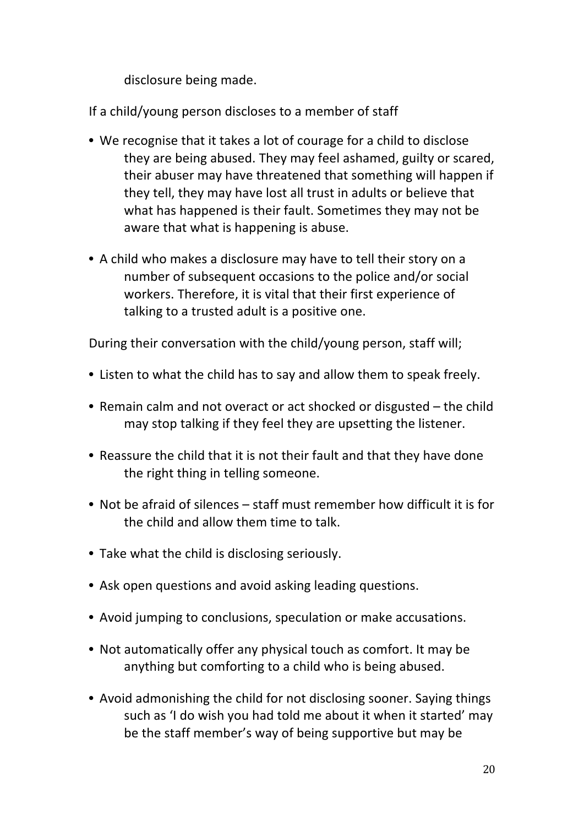disclosure being made.

If a child/young person discloses to a member of staff

- We recognise that it takes a lot of courage for a child to disclose they are being abused. They may feel ashamed, guilty or scared, their abuser may have threatened that something will happen if they tell, they may have lost all trust in adults or believe that what has happened is their fault. Sometimes they may not be aware that what is happening is abuse.
- A child who makes a disclosure may have to tell their story on a number of subsequent occasions to the police and/or social workers. Therefore, it is vital that their first experience of talking to a trusted adult is a positive one.

During their conversation with the child/young person, staff will;

- Listen to what the child has to say and allow them to speak freely.
- Remain calm and not overact or act shocked or disgusted the child may stop talking if they feel they are upsetting the listener.
- Reassure the child that it is not their fault and that they have done the right thing in telling someone.
- Not be afraid of silences staff must remember how difficult it is for the child and allow them time to talk.
- Take what the child is disclosing seriously.
- Ask open questions and avoid asking leading questions.
- Avoid jumping to conclusions, speculation or make accusations.
- Not automatically offer any physical touch as comfort. It may be anything but comforting to a child who is being abused.
- Avoid admonishing the child for not disclosing sooner. Saying things such as 'I do wish you had told me about it when it started' may be the staff member's way of being supportive but may be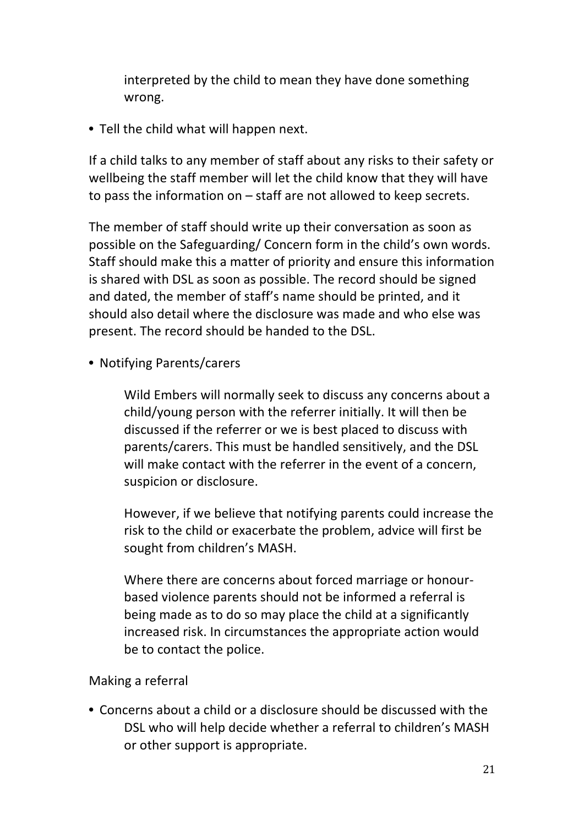interpreted by the child to mean they have done something wrong. 

• Tell the child what will happen next.

If a child talks to any member of staff about any risks to their safety or wellbeing the staff member will let the child know that they will have to pass the information on  $-$  staff are not allowed to keep secrets.

The member of staff should write up their conversation as soon as possible on the Safeguarding/ Concern form in the child's own words. Staff should make this a matter of priority and ensure this information is shared with DSL as soon as possible. The record should be signed and dated, the member of staff's name should be printed, and it should also detail where the disclosure was made and who else was present. The record should be handed to the DSL.

• Notifying Parents/carers

Wild Embers will normally seek to discuss any concerns about a child/young person with the referrer initially. It will then be discussed if the referrer or we is best placed to discuss with parents/carers. This must be handled sensitively, and the DSL will make contact with the referrer in the event of a concern. suspicion or disclosure.

However, if we believe that notifying parents could increase the risk to the child or exacerbate the problem, advice will first be sought from children's MASH.

Where there are concerns about forced marriage or honourbased violence parents should not be informed a referral is being made as to do so may place the child at a significantly increased risk. In circumstances the appropriate action would be to contact the police.

## Making a referral

• Concerns about a child or a disclosure should be discussed with the DSL who will help decide whether a referral to children's MASH or other support is appropriate.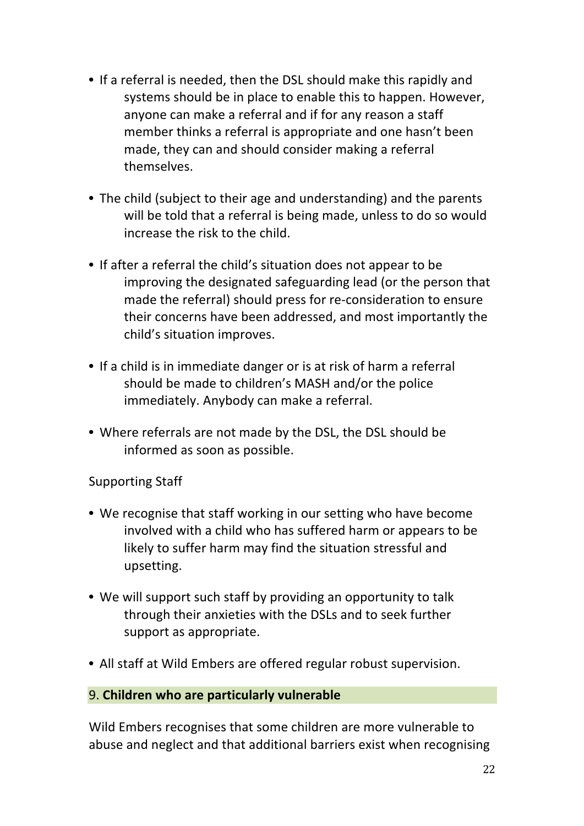- If a referral is needed, then the DSL should make this rapidly and systems should be in place to enable this to happen. However, anyone can make a referral and if for any reason a staff member thinks a referral is appropriate and one hasn't been made, they can and should consider making a referral themselves.
- The child (subject to their age and understanding) and the parents will be told that a referral is being made, unless to do so would increase the risk to the child.
- If after a referral the child's situation does not appear to be improving the designated safeguarding lead (or the person that made the referral) should press for re-consideration to ensure their concerns have been addressed, and most importantly the child's situation improves.
- If a child is in immediate danger or is at risk of harm a referral should be made to children's MASH and/or the police immediately. Anybody can make a referral.
- Where referrals are not made by the DSL, the DSL should be informed as soon as possible.

## Supporting Staff

- We recognise that staff working in our setting who have become involved with a child who has suffered harm or appears to be likely to suffer harm may find the situation stressful and upsetting.
- We will support such staff by providing an opportunity to talk through their anxieties with the DSLs and to seek further support as appropriate.
- All staff at Wild Embers are offered regular robust supervision.

#### 9. **Children who are particularly vulnerable**

Wild Embers recognises that some children are more vulnerable to abuse and neglect and that additional barriers exist when recognising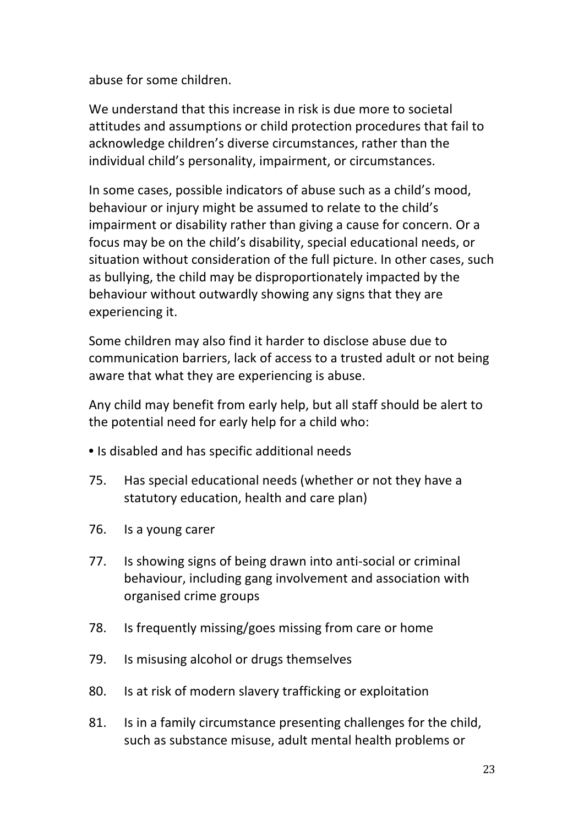abuse for some children.

We understand that this increase in risk is due more to societal attitudes and assumptions or child protection procedures that fail to acknowledge children's diverse circumstances, rather than the individual child's personality, impairment, or circumstances.

In some cases, possible indicators of abuse such as a child's mood, behaviour or injury might be assumed to relate to the child's impairment or disability rather than giving a cause for concern. Or a focus may be on the child's disability, special educational needs, or situation without consideration of the full picture. In other cases, such as bullying, the child may be disproportionately impacted by the behaviour without outwardly showing any signs that they are experiencing it.

Some children may also find it harder to disclose abuse due to communication barriers, lack of access to a trusted adult or not being aware that what they are experiencing is abuse.

Any child may benefit from early help, but all staff should be alert to the potential need for early help for a child who:

- Is disabled and has specific additional needs
- 75. Has special educational needs (whether or not they have a statutory education, health and care plan)
- 76. Is a young carer
- 77. Is showing signs of being drawn into anti-social or criminal behaviour, including gang involvement and association with organised crime groups
- 78. Is frequently missing/goes missing from care or home
- 79. Is misusing alcohol or drugs themselves
- 80. Is at risk of modern slavery trafficking or exploitation
- 81. Is in a family circumstance presenting challenges for the child, such as substance misuse, adult mental health problems or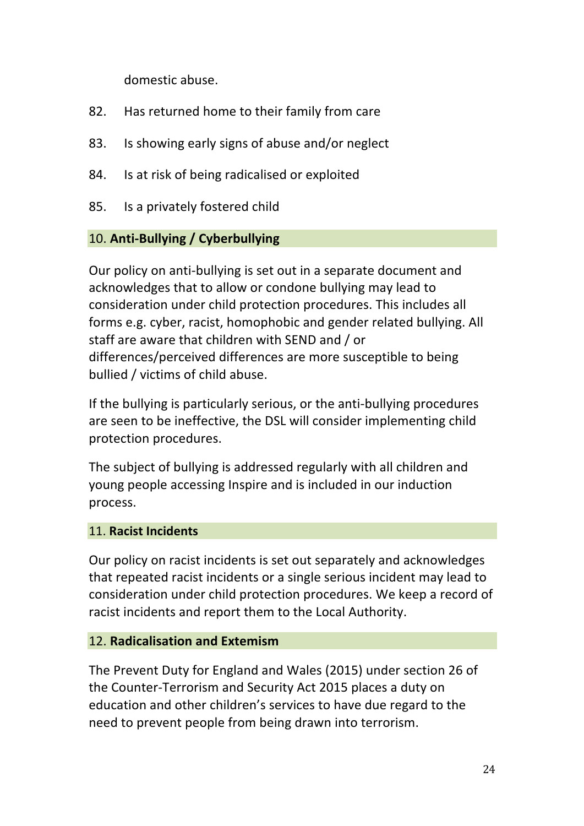domestic abuse.

- 82. Has returned home to their family from care
- 83. Is showing early signs of abuse and/or neglect
- 84. Is at risk of being radicalised or exploited
- 85. Is a privately fostered child

## 10. **Anti-Bullying / Cyberbullying**

Our policy on anti-bullying is set out in a separate document and acknowledges that to allow or condone bullying may lead to consideration under child protection procedures. This includes all forms e.g. cyber, racist, homophobic and gender related bullying. All staff are aware that children with SEND and / or differences/perceived differences are more susceptible to being bullied / victims of child abuse.

If the bullying is particularly serious, or the anti-bullying procedures are seen to be ineffective, the DSL will consider implementing child protection procedures.

The subject of bullying is addressed regularly with all children and young people accessing Inspire and is included in our induction process. 

#### 11. **Racist Incidents**

Our policy on racist incidents is set out separately and acknowledges that repeated racist incidents or a single serious incident may lead to consideration under child protection procedures. We keep a record of racist incidents and report them to the Local Authority.

#### 12. **Radicalisation and Extemism**

The Prevent Duty for England and Wales (2015) under section 26 of the Counter-Terrorism and Security Act 2015 places a duty on education and other children's services to have due regard to the need to prevent people from being drawn into terrorism.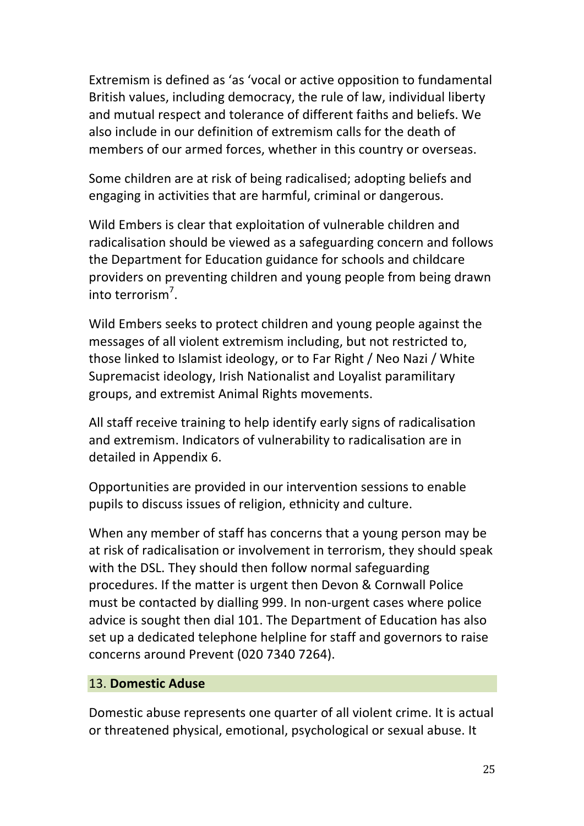Extremism is defined as 'as 'vocal or active opposition to fundamental British values, including democracy, the rule of law, individual liberty and mutual respect and tolerance of different faiths and beliefs. We also include in our definition of extremism calls for the death of members of our armed forces, whether in this country or overseas.

Some children are at risk of being radicalised; adopting beliefs and engaging in activities that are harmful, criminal or dangerous.

Wild Embers is clear that exploitation of vulnerable children and radicalisation should be viewed as a safeguarding concern and follows the Department for Education guidance for schools and childcare providers on preventing children and young people from being drawn into terrorism<sup>7</sup>.

Wild Embers seeks to protect children and young people against the messages of all violent extremism including, but not restricted to, those linked to Islamist ideology, or to Far Right / Neo Nazi / White Supremacist ideology, Irish Nationalist and Loyalist paramilitary groups, and extremist Animal Rights movements.

All staff receive training to help identify early signs of radicalisation and extremism. Indicators of vulnerability to radicalisation are in detailed in Appendix 6.

Opportunities are provided in our intervention sessions to enable pupils to discuss issues of religion, ethnicity and culture.

When any member of staff has concerns that a young person may be at risk of radicalisation or involvement in terrorism, they should speak with the DSL. They should then follow normal safeguarding procedures. If the matter is urgent then Devon & Cornwall Police must be contacted by dialling 999. In non-urgent cases where police advice is sought then dial 101. The Department of Education has also set up a dedicated telephone helpline for staff and governors to raise concerns around Prevent (020 7340 7264).

#### 13. **Domestic Aduse**

Domestic abuse represents one quarter of all violent crime. It is actual or threatened physical, emotional, psychological or sexual abuse. It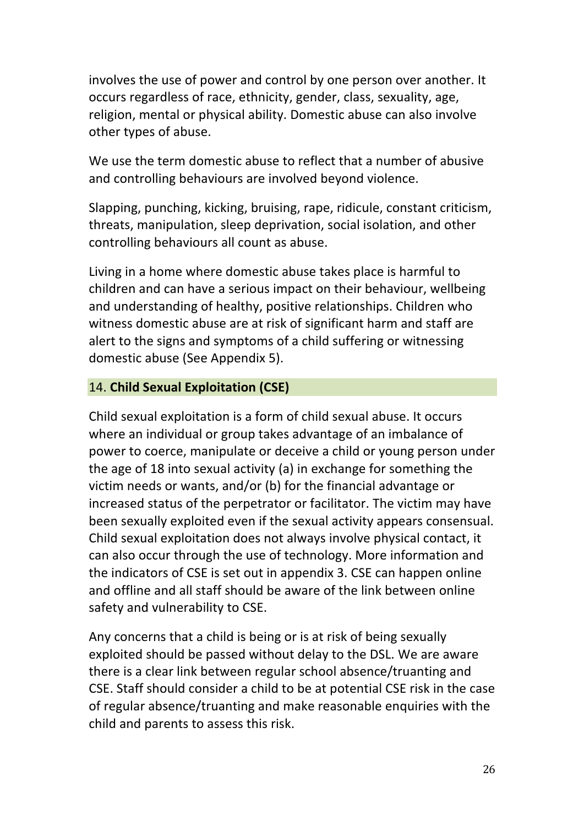involves the use of power and control by one person over another. It occurs regardless of race, ethnicity, gender, class, sexuality, age, religion, mental or physical ability. Domestic abuse can also involve other types of abuse.

We use the term domestic abuse to reflect that a number of abusive and controlling behaviours are involved beyond violence.

Slapping, punching, kicking, bruising, rape, ridicule, constant criticism, threats, manipulation, sleep deprivation, social isolation, and other controlling behaviours all count as abuse.

Living in a home where domestic abuse takes place is harmful to children and can have a serious impact on their behaviour, wellbeing and understanding of healthy, positive relationships. Children who witness domestic abuse are at risk of significant harm and staff are alert to the signs and symptoms of a child suffering or witnessing domestic abuse (See Appendix 5).

## 14. **Child Sexual Exploitation (CSE)**

Child sexual exploitation is a form of child sexual abuse. It occurs where an individual or group takes advantage of an imbalance of power to coerce, manipulate or deceive a child or young person under the age of 18 into sexual activity (a) in exchange for something the victim needs or wants, and/or (b) for the financial advantage or increased status of the perpetrator or facilitator. The victim may have been sexually exploited even if the sexual activity appears consensual. Child sexual exploitation does not always involve physical contact, it can also occur through the use of technology. More information and the indicators of CSE is set out in appendix 3. CSE can happen online and offline and all staff should be aware of the link between online safety and vulnerability to CSE.

Any concerns that a child is being or is at risk of being sexually exploited should be passed without delay to the DSL. We are aware there is a clear link between regular school absence/truanting and CSE. Staff should consider a child to be at potential CSE risk in the case of regular absence/truanting and make reasonable enquiries with the child and parents to assess this risk.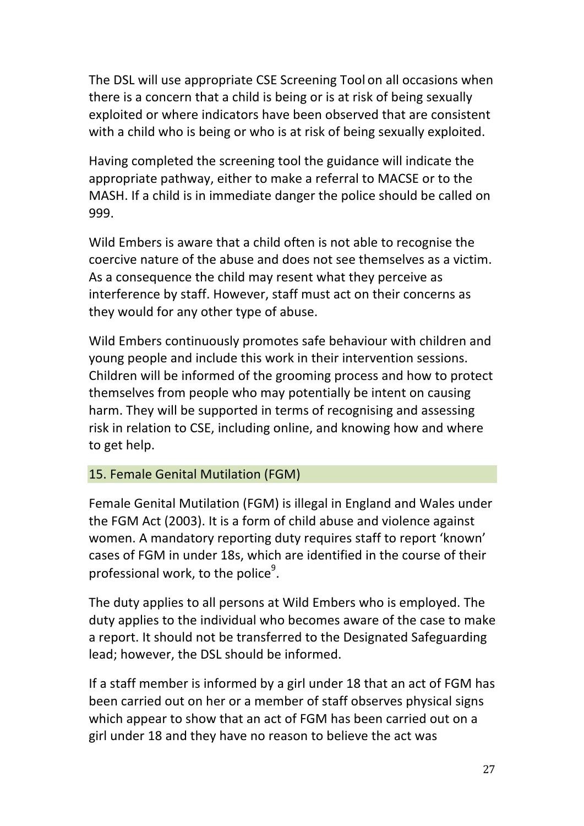The DSL will use appropriate CSE Screening Tool on all occasions when there is a concern that a child is being or is at risk of being sexually exploited or where indicators have been observed that are consistent with a child who is being or who is at risk of being sexually exploited.

Having completed the screening tool the guidance will indicate the appropriate pathway, either to make a referral to MACSE or to the MASH. If a child is in immediate danger the police should be called on 999. 

Wild Embers is aware that a child often is not able to recognise the coercive nature of the abuse and does not see themselves as a victim. As a consequence the child may resent what they perceive as interference by staff. However, staff must act on their concerns as they would for any other type of abuse.

Wild Embers continuously promotes safe behaviour with children and young people and include this work in their intervention sessions. Children will be informed of the grooming process and how to protect themselves from people who may potentially be intent on causing harm. They will be supported in terms of recognising and assessing risk in relation to CSE, including online, and knowing how and where to get help.

#### 15. Female Genital Mutilation (FGM)

Female Genital Mutilation (FGM) is illegal in England and Wales under the FGM Act (2003). It is a form of child abuse and violence against women. A mandatory reporting duty requires staff to report 'known' cases of FGM in under 18s, which are identified in the course of their professional work, to the police<sup>9</sup>.

The duty applies to all persons at Wild Embers who is employed. The duty applies to the individual who becomes aware of the case to make a report. It should not be transferred to the Designated Safeguarding lead; however, the DSL should be informed.

If a staff member is informed by a girl under 18 that an act of FGM has been carried out on her or a member of staff observes physical signs which appear to show that an act of FGM has been carried out on a girl under 18 and they have no reason to believe the act was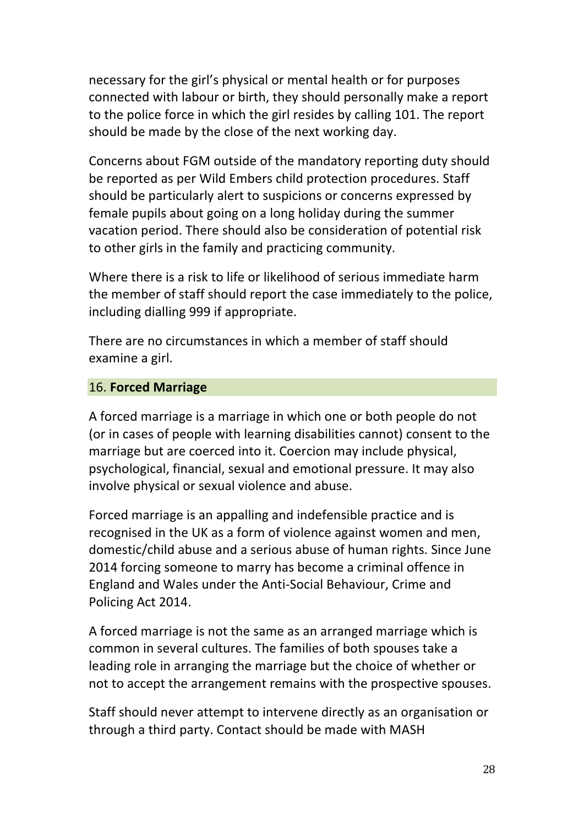necessary for the girl's physical or mental health or for purposes connected with labour or birth, they should personally make a report to the police force in which the girl resides by calling 101. The report should be made by the close of the next working day.

Concerns about FGM outside of the mandatory reporting duty should be reported as per Wild Embers child protection procedures. Staff should be particularly alert to suspicions or concerns expressed by female pupils about going on a long holiday during the summer vacation period. There should also be consideration of potential risk to other girls in the family and practicing community.

Where there is a risk to life or likelihood of serious immediate harm the member of staff should report the case immediately to the police, including dialling 999 if appropriate.

There are no circumstances in which a member of staff should examine a girl.

## 16. **Forced Marriage**

A forced marriage is a marriage in which one or both people do not (or in cases of people with learning disabilities cannot) consent to the marriage but are coerced into it. Coercion may include physical, psychological, financial, sexual and emotional pressure. It may also involve physical or sexual violence and abuse.

Forced marriage is an appalling and indefensible practice and is recognised in the UK as a form of violence against women and men, domestic/child abuse and a serious abuse of human rights. Since June 2014 forcing someone to marry has become a criminal offence in England and Wales under the Anti-Social Behaviour, Crime and Policing Act 2014.

A forced marriage is not the same as an arranged marriage which is common in several cultures. The families of both spouses take a leading role in arranging the marriage but the choice of whether or not to accept the arrangement remains with the prospective spouses.

Staff should never attempt to intervene directly as an organisation or through a third party. Contact should be made with MASH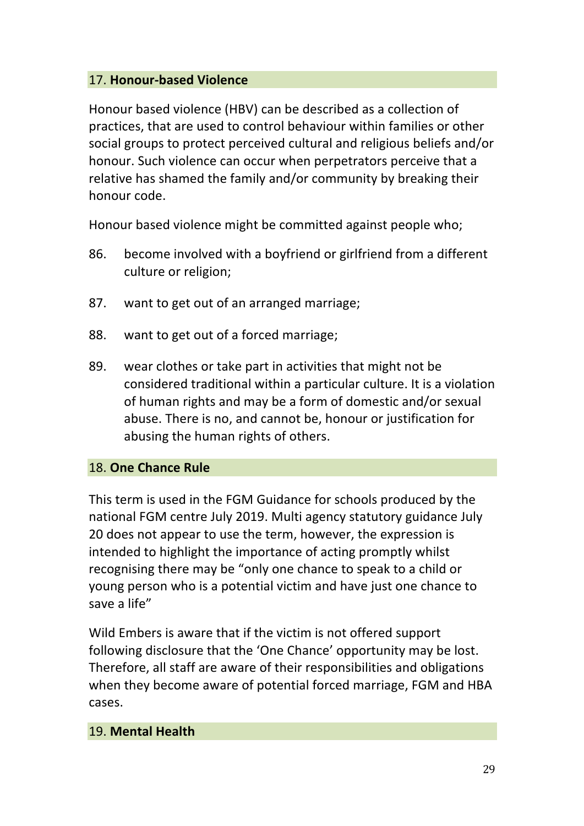## 17. **Honour-based Violence**

Honour based violence (HBV) can be described as a collection of practices, that are used to control behaviour within families or other social groups to protect perceived cultural and religious beliefs and/or honour. Such violence can occur when perpetrators perceive that a relative has shamed the family and/or community by breaking their honour code.

Honour based violence might be committed against people who;

- 86. become involved with a boyfriend or girlfriend from a different culture or religion;
- 87. want to get out of an arranged marriage;
- 88. want to get out of a forced marriage;
- 89. wear clothes or take part in activities that might not be considered traditional within a particular culture. It is a violation of human rights and may be a form of domestic and/or sexual abuse. There is no, and cannot be, honour or justification for abusing the human rights of others.

#### 18. **One Chance Rule**

This term is used in the FGM Guidance for schools produced by the national FGM centre July 2019. Multi agency statutory guidance July 20 does not appear to use the term, however, the expression is intended to highlight the importance of acting promptly whilst recognising there may be "only one chance to speak to a child or young person who is a potential victim and have just one chance to save a life"

Wild Embers is aware that if the victim is not offered support following disclosure that the 'One Chance' opportunity may be lost. Therefore, all staff are aware of their responsibilities and obligations when they become aware of potential forced marriage, FGM and HBA cases. 

#### 19. **Mental Health**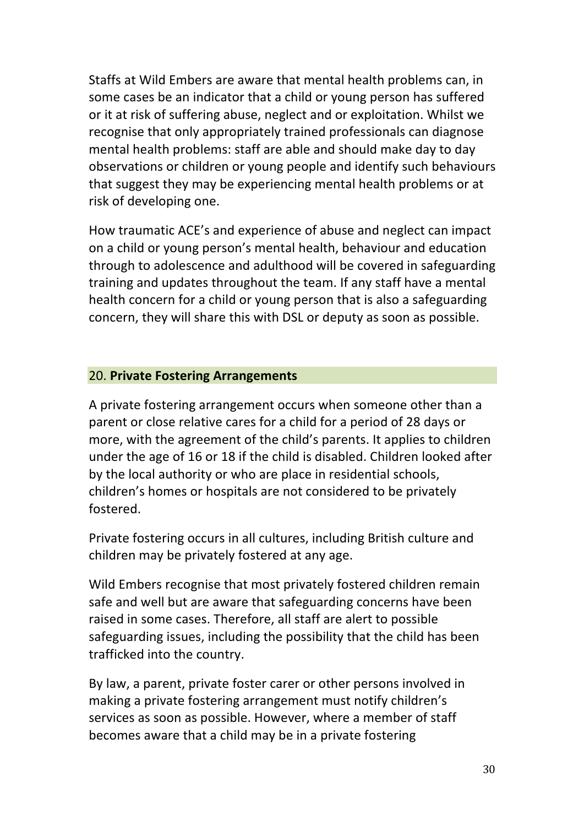Staffs at Wild Embers are aware that mental health problems can, in some cases be an indicator that a child or young person has suffered or it at risk of suffering abuse, neglect and or exploitation. Whilst we recognise that only appropriately trained professionals can diagnose mental health problems: staff are able and should make day to day observations or children or young people and identify such behaviours that suggest they may be experiencing mental health problems or at risk of developing one.

How traumatic ACE's and experience of abuse and neglect can impact on a child or young person's mental health, behaviour and education through to adolescence and adulthood will be covered in safeguarding training and updates throughout the team. If any staff have a mental health concern for a child or young person that is also a safeguarding concern, they will share this with DSL or deputy as soon as possible.

## 20. **Private Fostering Arrangements**

A private fostering arrangement occurs when someone other than a parent or close relative cares for a child for a period of 28 days or more, with the agreement of the child's parents. It applies to children under the age of 16 or 18 if the child is disabled. Children looked after by the local authority or who are place in residential schools, children's homes or hospitals are not considered to be privately fostered. 

Private fostering occurs in all cultures, including British culture and children may be privately fostered at any age.

Wild Embers recognise that most privately fostered children remain safe and well but are aware that safeguarding concerns have been raised in some cases. Therefore, all staff are alert to possible safeguarding issues, including the possibility that the child has been trafficked into the country.

By law, a parent, private foster carer or other persons involved in making a private fostering arrangement must notify children's services as soon as possible. However, where a member of staff becomes aware that a child may be in a private fostering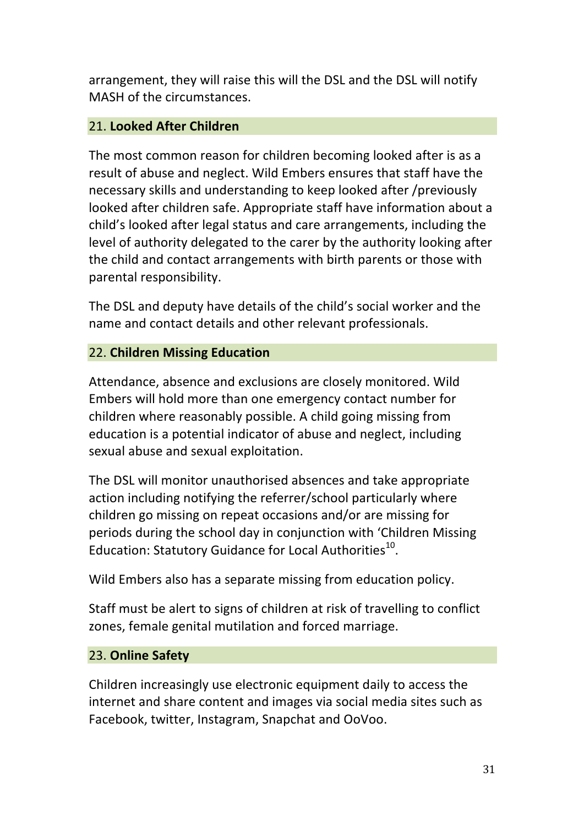arrangement, they will raise this will the DSL and the DSL will notify MASH of the circumstances.

## 21. **Looked After Children**

The most common reason for children becoming looked after is as a result of abuse and neglect. Wild Embers ensures that staff have the necessary skills and understanding to keep looked after /previously looked after children safe. Appropriate staff have information about a child's looked after legal status and care arrangements, including the level of authority delegated to the carer by the authority looking after the child and contact arrangements with birth parents or those with parental responsibility.

The DSL and deputy have details of the child's social worker and the name and contact details and other relevant professionals.

## 22. **Children Missing Education**

Attendance, absence and exclusions are closely monitored. Wild Embers will hold more than one emergency contact number for children where reasonably possible. A child going missing from education is a potential indicator of abuse and neglect, including sexual abuse and sexual exploitation.

The DSL will monitor unauthorised absences and take appropriate action including notifying the referrer/school particularly where children go missing on repeat occasions and/or are missing for periods during the school day in conjunction with 'Children Missing Education: Statutory Guidance for Local Authorities<sup>10</sup>.

Wild Embers also has a separate missing from education policy.

Staff must be alert to signs of children at risk of travelling to conflict zones, female genital mutilation and forced marriage.

#### 23. **Online Safety**

Children increasingly use electronic equipment daily to access the internet and share content and images via social media sites such as Facebook, twitter, Instagram, Snapchat and OoVoo.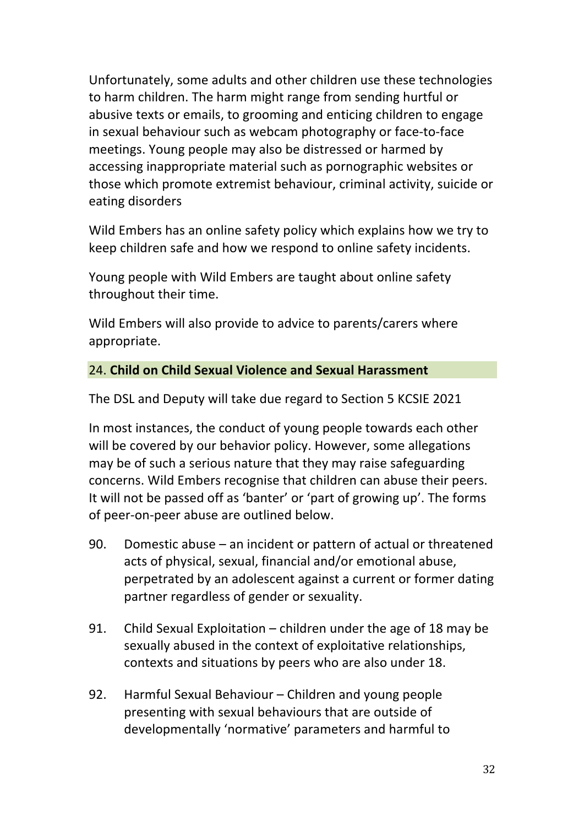Unfortunately, some adults and other children use these technologies to harm children. The harm might range from sending hurtful or abusive texts or emails, to grooming and enticing children to engage in sexual behaviour such as webcam photography or face-to-face meetings. Young people may also be distressed or harmed by accessing inappropriate material such as pornographic websites or those which promote extremist behaviour, criminal activity, suicide or eating disorders

Wild Embers has an online safety policy which explains how we try to keep children safe and how we respond to online safety incidents.

Young people with Wild Embers are taught about online safety throughout their time.

Wild Embers will also provide to advice to parents/carers where appropriate. 

## 24. **Child on Child Sexual Violence and Sexual Harassment**

The DSL and Deputy will take due regard to Section 5 KCSIE 2021

In most instances, the conduct of young people towards each other will be covered by our behavior policy. However, some allegations may be of such a serious nature that they may raise safeguarding concerns. Wild Embers recognise that children can abuse their peers. It will not be passed off as 'banter' or 'part of growing up'. The forms of peer-on-peer abuse are outlined below.

- 90. Domestic abuse  $-$  an incident or pattern of actual or threatened acts of physical, sexual, financial and/or emotional abuse, perpetrated by an adolescent against a current or former dating partner regardless of gender or sexuality.
- 91. Child Sexual Exploitation children under the age of 18 may be sexually abused in the context of exploitative relationships, contexts and situations by peers who are also under 18.
- 92. Harmful Sexual Behaviour Children and young people presenting with sexual behaviours that are outside of developmentally 'normative' parameters and harmful to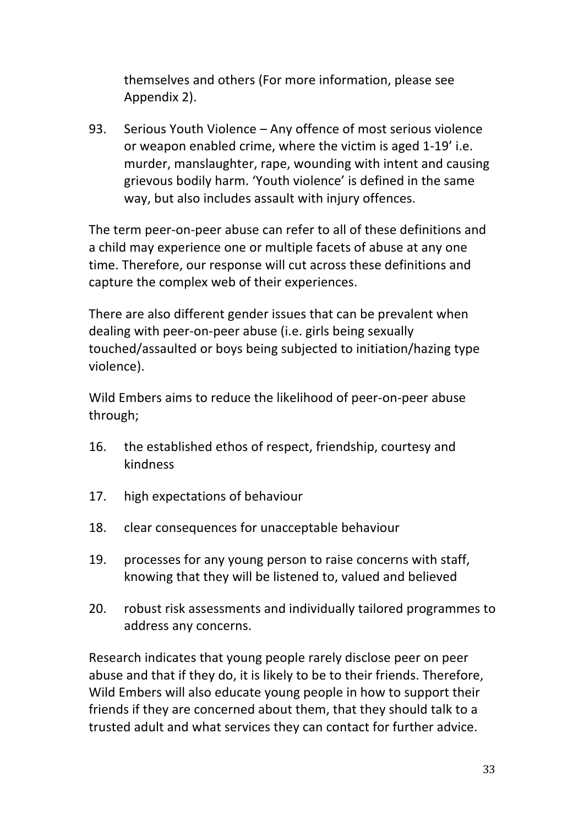themselves and others (For more information, please see Appendix 2).

93. Serious Youth Violence – Any offence of most serious violence or weapon enabled crime, where the victim is aged 1-19' i.e. murder, manslaughter, rape, wounding with intent and causing grievous bodily harm. 'Youth violence' is defined in the same way, but also includes assault with injury offences.

The term peer-on-peer abuse can refer to all of these definitions and a child may experience one or multiple facets of abuse at any one time. Therefore, our response will cut across these definitions and capture the complex web of their experiences.

There are also different gender issues that can be prevalent when dealing with peer-on-peer abuse (i.e. girls being sexually touched/assaulted or boys being subjected to initiation/hazing type violence). 

Wild Embers aims to reduce the likelihood of peer-on-peer abuse through; 

- 16. the established ethos of respect, friendship, courtesy and kindness
- 17. high expectations of behaviour
- 18. clear consequences for unacceptable behaviour
- 19. processes for any young person to raise concerns with staff, knowing that they will be listened to, valued and believed
- 20. robust risk assessments and individually tailored programmes to address any concerns.

Research indicates that young people rarely disclose peer on peer abuse and that if they do, it is likely to be to their friends. Therefore, Wild Embers will also educate young people in how to support their friends if they are concerned about them, that they should talk to a trusted adult and what services they can contact for further advice.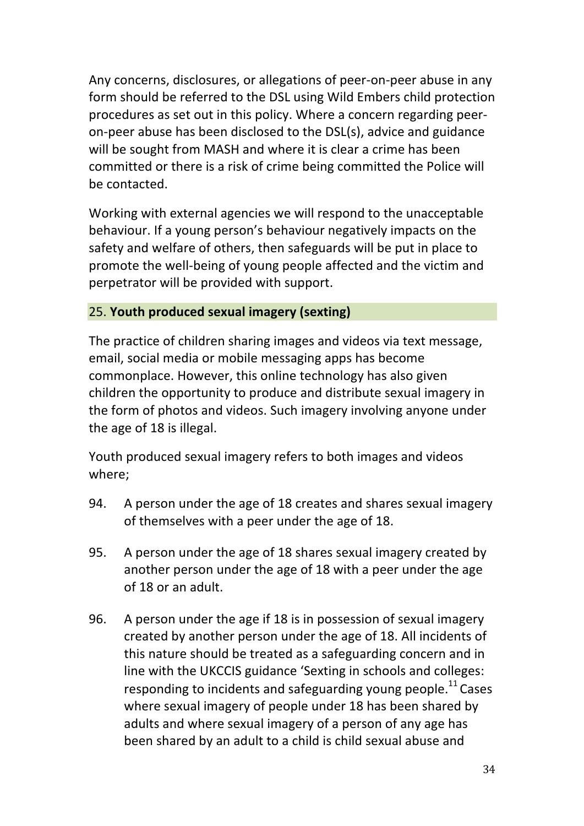Any concerns, disclosures, or allegations of peer-on-peer abuse in any form should be referred to the DSL using Wild Embers child protection procedures as set out in this policy. Where a concern regarding peeron-peer abuse has been disclosed to the DSL(s), advice and guidance will be sought from MASH and where it is clear a crime has been committed or there is a risk of crime being committed the Police will be contacted.

Working with external agencies we will respond to the unacceptable behaviour. If a young person's behaviour negatively impacts on the safety and welfare of others, then safeguards will be put in place to promote the well-being of young people affected and the victim and perpetrator will be provided with support.

## 25. **Youth produced sexual imagery (sexting)**

The practice of children sharing images and videos via text message, email, social media or mobile messaging apps has become commonplace. However, this online technology has also given children the opportunity to produce and distribute sexual imagery in the form of photos and videos. Such imagery involving anyone under the age of 18 is illegal.

Youth produced sexual imagery refers to both images and videos where; 

- 94. A person under the age of 18 creates and shares sexual imagery of themselves with a peer under the age of 18.
- 95. A person under the age of 18 shares sexual imagery created by another person under the age of 18 with a peer under the age of 18 or an adult.
- 96. A person under the age if 18 is in possession of sexual imagery created by another person under the age of 18. All incidents of this nature should be treated as a safeguarding concern and in line with the UKCCIS guidance 'Sexting in schools and colleges: responding to incidents and safeguarding young people.<sup>11</sup> Cases where sexual imagery of people under 18 has been shared by adults and where sexual imagery of a person of any age has been shared by an adult to a child is child sexual abuse and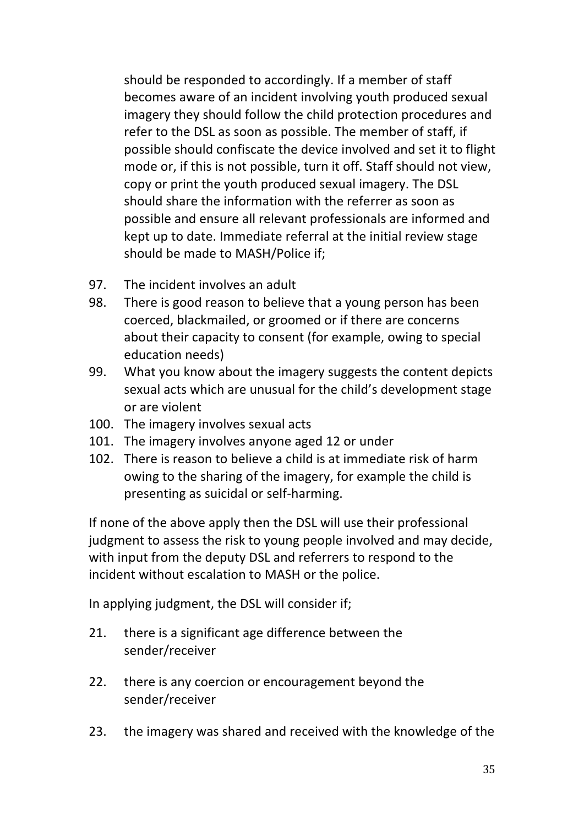should be responded to accordingly. If a member of staff becomes aware of an incident involving youth produced sexual imagery they should follow the child protection procedures and refer to the DSL as soon as possible. The member of staff, if possible should confiscate the device involved and set it to flight mode or, if this is not possible, turn it off. Staff should not view, copy or print the youth produced sexual imagery. The DSL should share the information with the referrer as soon as possible and ensure all relevant professionals are informed and kept up to date. Immediate referral at the initial review stage should be made to MASH/Police if:

- 97. The incident involves an adult
- 98. There is good reason to believe that a young person has been coerced, blackmailed, or groomed or if there are concerns about their capacity to consent (for example, owing to special education needs)
- 99. What you know about the imagery suggests the content depicts sexual acts which are unusual for the child's development stage or are violent
- 100. The imagery involves sexual acts
- 101. The imagery involves anyone aged 12 or under
- 102. There is reason to believe a child is at immediate risk of harm owing to the sharing of the imagery, for example the child is presenting as suicidal or self-harming.

If none of the above apply then the DSL will use their professional judgment to assess the risk to young people involved and may decide, with input from the deputy DSL and referrers to respond to the incident without escalation to MASH or the police.

In applying judgment, the DSL will consider if;

- 21. there is a significant age difference between the sender/receiver
- 22. there is any coercion or encouragement beyond the sender/receiver
- 23. the imagery was shared and received with the knowledge of the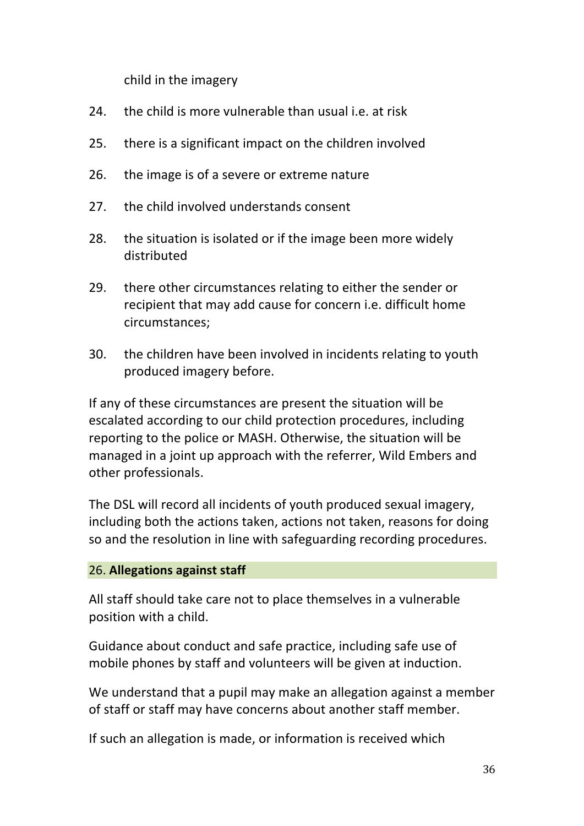child in the imagery

- 24. the child is more vulnerable than usual i.e. at risk
- 25. there is a significant impact on the children involved
- 26. the image is of a severe or extreme nature
- 27. the child involved understands consent
- 28. the situation is isolated or if the image been more widely distributed
- 29. there other circumstances relating to either the sender or recipient that may add cause for concern *i.e.* difficult home circumstances;
- 30. the children have been involved in incidents relating to youth produced imagery before.

If any of these circumstances are present the situation will be escalated according to our child protection procedures, including reporting to the police or MASH. Otherwise, the situation will be managed in a joint up approach with the referrer, Wild Embers and other professionals.

The DSL will record all incidents of youth produced sexual imagery, including both the actions taken, actions not taken, reasons for doing so and the resolution in line with safeguarding recording procedures.

#### 26. **Allegations against staff**

All staff should take care not to place themselves in a vulnerable position with a child.

Guidance about conduct and safe practice, including safe use of mobile phones by staff and volunteers will be given at induction.

We understand that a pupil may make an allegation against a member of staff or staff may have concerns about another staff member.

If such an allegation is made, or information is received which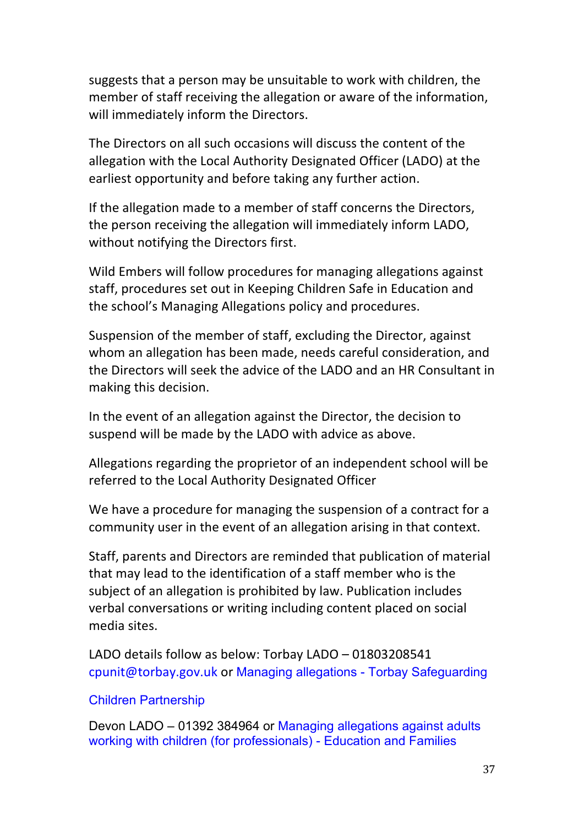suggests that a person may be unsuitable to work with children, the member of staff receiving the allegation or aware of the information, will immediately inform the Directors.

The Directors on all such occasions will discuss the content of the allegation with the Local Authority Designated Officer (LADO) at the earliest opportunity and before taking any further action.

If the allegation made to a member of staff concerns the Directors, the person receiving the allegation will immediately inform LADO, without notifying the Directors first.

Wild Embers will follow procedures for managing allegations against staff, procedures set out in Keeping Children Safe in Education and the school's Managing Allegations policy and procedures.

Suspension of the member of staff, excluding the Director, against whom an allegation has been made, needs careful consideration, and the Directors will seek the advice of the LADO and an HR Consultant in making this decision.

In the event of an allegation against the Director, the decision to suspend will be made by the LADO with advice as above.

Allegations regarding the proprietor of an independent school will be referred to the Local Authority Designated Officer

We have a procedure for managing the suspension of a contract for a community user in the event of an allegation arising in that context.

Staff, parents and Directors are reminded that publication of material that may lead to the identification of a staff member who is the subject of an allegation is prohibited by law. Publication includes verbal conversations or writing including content placed on social media sites. 

LADO details follow as below: Torbay LADO - 01803208541 cpunit@torbay.gov.uk or Managing allegations - Torbay Safeguarding

#### Children Partnership

Devon LADO – 01392 384964 or Managing allegations against adults working with children (for professionals) - Education and Families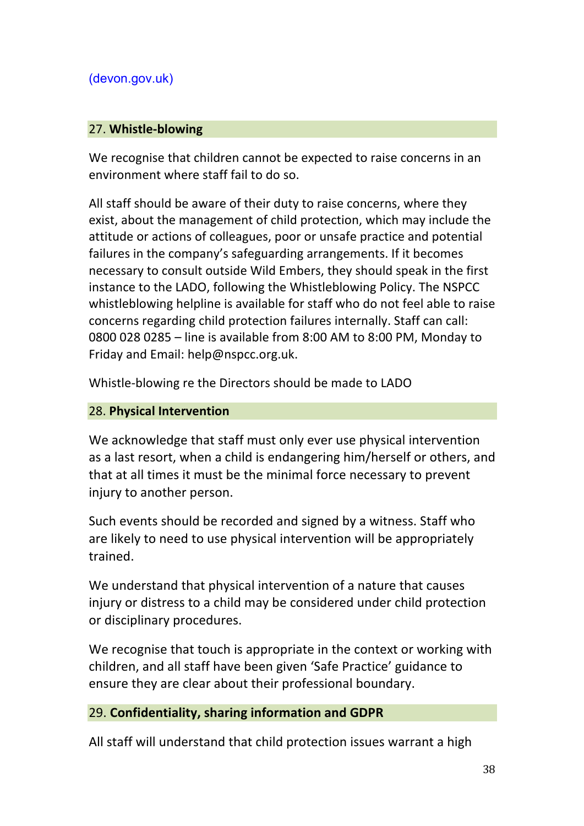## (devon.gov.uk)

#### 27. **Whistle-blowing**

We recognise that children cannot be expected to raise concerns in an environment where staff fail to do so.

All staff should be aware of their duty to raise concerns, where they exist, about the management of child protection, which may include the attitude or actions of colleagues, poor or unsafe practice and potential failures in the company's safeguarding arrangements. If it becomes necessary to consult outside Wild Embers, they should speak in the first instance to the LADO, following the Whistleblowing Policy. The NSPCC whistleblowing helpline is available for staff who do not feel able to raise concerns regarding child protection failures internally. Staff can call: 0800 028 0285  $-$  line is available from 8:00 AM to 8:00 PM, Monday to Friday and Email: help@nspcc.org.uk.

Whistle-blowing re the Directors should be made to LADO

#### 28. **Physical Intervention**

We acknowledge that staff must only ever use physical intervention as a last resort, when a child is endangering him/herself or others, and that at all times it must be the minimal force necessary to prevent injury to another person.

Such events should be recorded and signed by a witness. Staff who are likely to need to use physical intervention will be appropriately trained. 

We understand that physical intervention of a nature that causes injury or distress to a child may be considered under child protection or disciplinary procedures.

We recognise that touch is appropriate in the context or working with children, and all staff have been given 'Safe Practice' guidance to ensure they are clear about their professional boundary.

#### 29. Confidentiality, sharing information and GDPR

All staff will understand that child protection issues warrant a high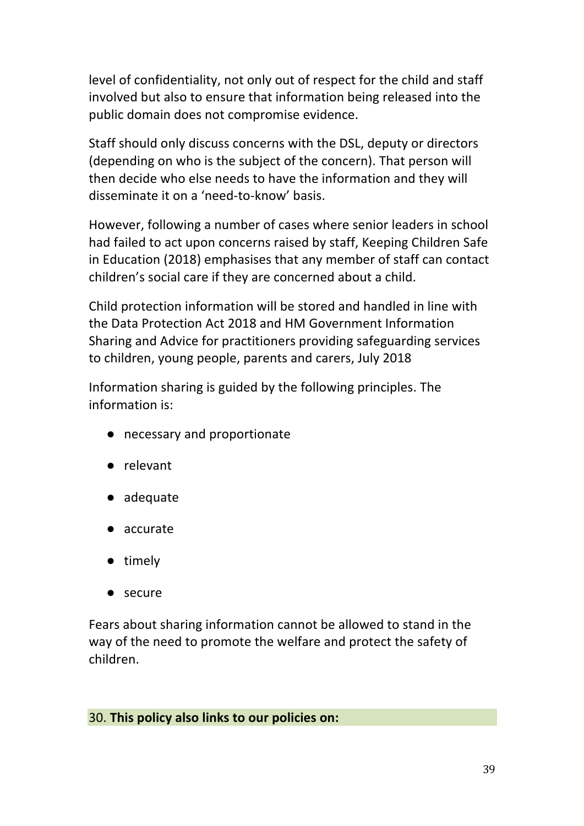level of confidentiality, not only out of respect for the child and staff involved but also to ensure that information being released into the public domain does not compromise evidence.

Staff should only discuss concerns with the DSL, deputy or directors (depending on who is the subject of the concern). That person will then decide who else needs to have the information and they will disseminate it on a 'need-to-know' hasis.

However, following a number of cases where senior leaders in school had failed to act upon concerns raised by staff, Keeping Children Safe in Education (2018) emphasises that any member of staff can contact children's social care if they are concerned about a child.

Child protection information will be stored and handled in line with the Data Protection Act 2018 and HM Government Information Sharing and Advice for practitioners providing safeguarding services to children, young people, parents and carers, July 2018

Information sharing is guided by the following principles. The information is:

- necessary and proportionate
- relevant
- adequate
- accurate
- timely
- secure

Fears about sharing information cannot be allowed to stand in the way of the need to promote the welfare and protect the safety of children. 

#### 30. This policy also links to our policies on: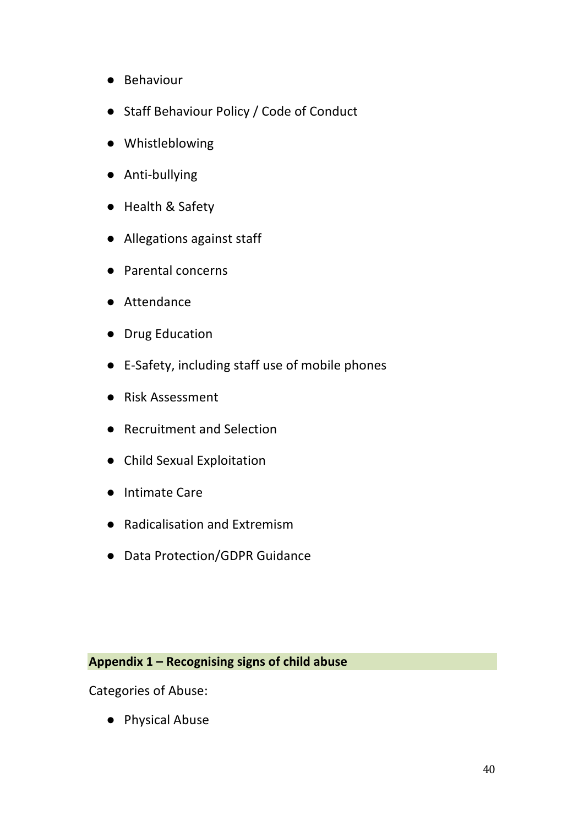- Behaviour
- Staff Behaviour Policy / Code of Conduct
- Whistleblowing
- Anti-bullying
- Health & Safety
- Allegations against staff
- Parental concerns
- Attendance
- Drug Education
- E-Safety, including staff use of mobile phones
- Risk Assessment
- Recruitment and Selection
- Child Sexual Exploitation
- Intimate Care
- Radicalisation and Extremism
- Data Protection/GDPR Guidance

## Appendix 1 - Recognising signs of child abuse

Categories of Abuse:

● Physical Abuse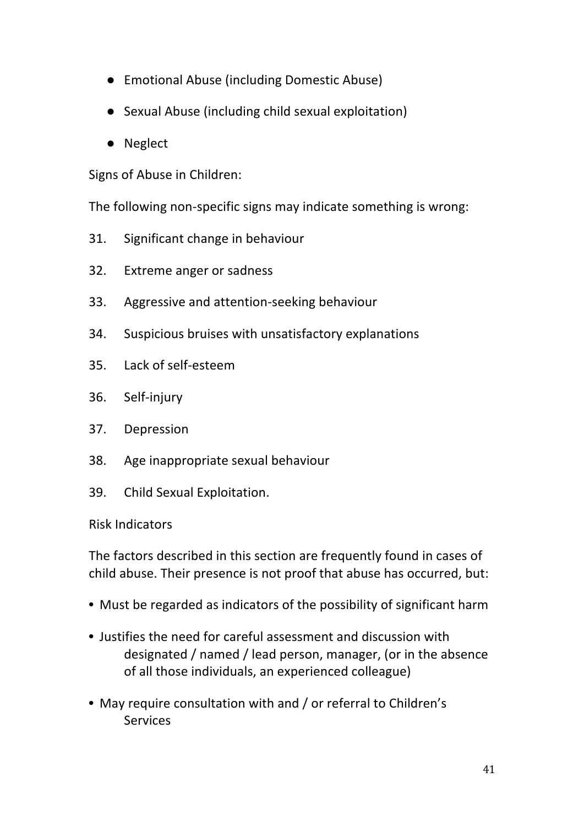- Emotional Abuse (including Domestic Abuse)
- Sexual Abuse (including child sexual exploitation)
- Neglect

Signs of Abuse in Children:

The following non-specific signs may indicate something is wrong:

- 31. Significant change in behaviour
- 32. Extreme anger or sadness
- 33. Aggressive and attention-seeking behaviour
- 34. Suspicious bruises with unsatisfactory explanations
- 35. Lack of self-esteem
- 36. Self-injury
- 37. Depression
- 38. Age inappropriate sexual behaviour
- 39. Child Sexual Exploitation.

#### Risk Indicators

The factors described in this section are frequently found in cases of child abuse. Their presence is not proof that abuse has occurred, but:

- Must be regarded as indicators of the possibility of significant harm
- Justifies the need for careful assessment and discussion with designated / named / lead person, manager, (or in the absence of all those individuals, an experienced colleague)
- May require consultation with and / or referral to Children's Services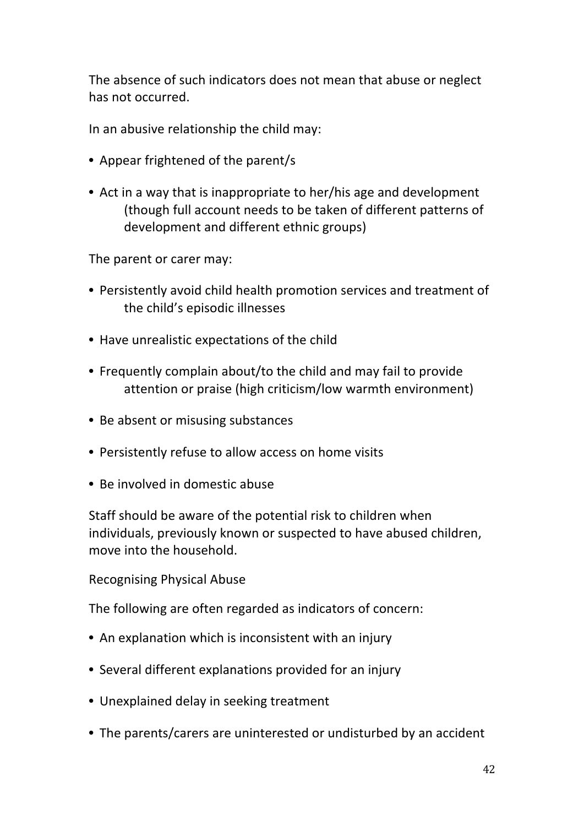The absence of such indicators does not mean that abuse or neglect has not occurred.

In an abusive relationship the child may:

- Appear frightened of the parent/s
- Act in a way that is inappropriate to her/his age and development (though full account needs to be taken of different patterns of development and different ethnic groups)

The parent or carer may:

- Persistently avoid child health promotion services and treatment of the child's episodic illnesses
- Have unrealistic expectations of the child
- Frequently complain about/to the child and may fail to provide attention or praise (high criticism/low warmth environment)
- Be absent or misusing substances
- Persistently refuse to allow access on home visits
- Be involved in domestic abuse

Staff should be aware of the potential risk to children when individuals, previously known or suspected to have abused children, move into the household.

Recognising Physical Abuse

The following are often regarded as indicators of concern:

- An explanation which is inconsistent with an injury
- Several different explanations provided for an injury
- Unexplained delay in seeking treatment
- The parents/carers are uninterested or undisturbed by an accident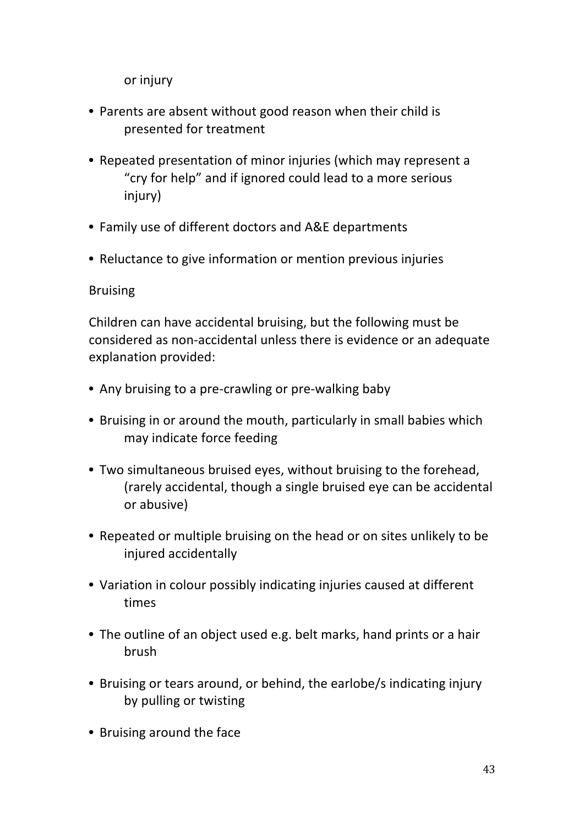or injury

- Parents are absent without good reason when their child is presented for treatment
- Repeated presentation of minor injuries (which may represent a "cry for help" and if ignored could lead to a more serious injury)
- Family use of different doctors and A&E departments
- Reluctance to give information or mention previous injuries

## Bruising

Children can have accidental bruising, but the following must be considered as non-accidental unless there is evidence or an adequate explanation provided:

- Any bruising to a pre-crawling or pre-walking baby
- Bruising in or around the mouth, particularly in small babies which may indicate force feeding
- Two simultaneous bruised eves, without bruising to the forehead, (rarely accidental, though a single bruised eye can be accidental or abusive)
- Repeated or multiple bruising on the head or on sites unlikely to be injured accidentally
- Variation in colour possibly indicating injuries caused at different times
- The outline of an object used e.g. belt marks, hand prints or a hair brush
- Bruising or tears around, or behind, the earlobe/s indicating injury by pulling or twisting
- Bruising around the face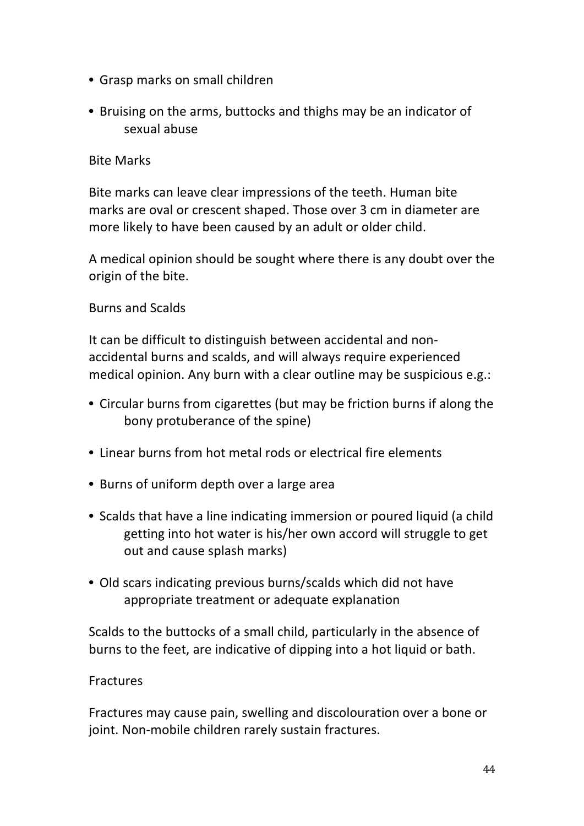- Grasp marks on small children
- Bruising on the arms, buttocks and thighs may be an indicator of sexual abuse

#### **Bite Marks**

Bite marks can leave clear impressions of the teeth. Human bite marks are oval or crescent shaped. Those over 3 cm in diameter are more likely to have been caused by an adult or older child.

A medical opinion should be sought where there is any doubt over the origin of the bite.

## Burns and Scalds

It can be difficult to distinguish between accidental and nonaccidental burns and scalds, and will always require experienced medical opinion. Any burn with a clear outline may be suspicious e.g.:

- Circular burns from cigarettes (but may be friction burns if along the bony protuberance of the spine)
- Linear burns from hot metal rods or electrical fire elements
- Burns of uniform depth over a large area
- Scalds that have a line indicating immersion or poured liquid (a child getting into hot water is his/her own accord will struggle to get out and cause splash marks)
- Old scars indicating previous burns/scalds which did not have appropriate treatment or adequate explanation

Scalds to the buttocks of a small child, particularly in the absence of burns to the feet, are indicative of dipping into a hot liquid or bath.

#### Fractures

Fractures may cause pain, swelling and discolouration over a bone or joint. Non-mobile children rarely sustain fractures.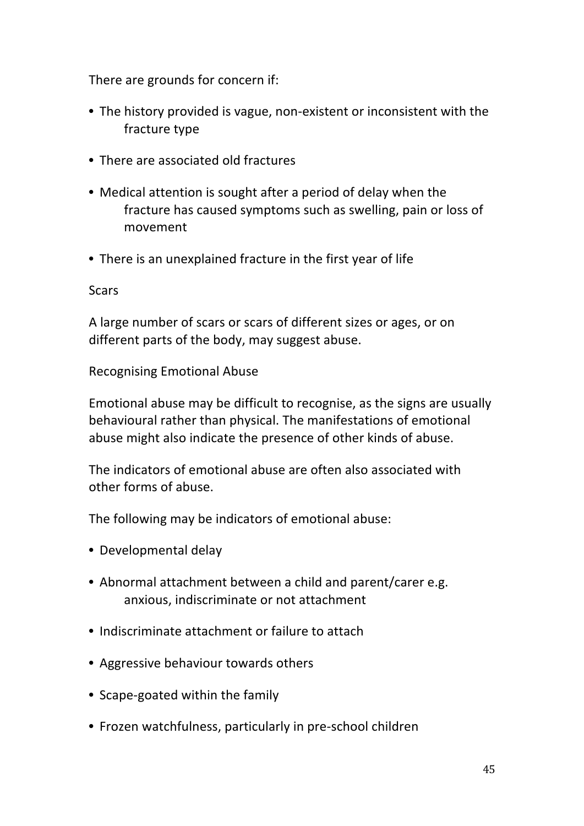There are grounds for concern if:

- The history provided is vague, non-existent or inconsistent with the fracture type
- There are associated old fractures
- Medical attention is sought after a period of delay when the fracture has caused symptoms such as swelling, pain or loss of movement
- There is an unexplained fracture in the first year of life

**Scars** 

A large number of scars or scars of different sizes or ages, or on different parts of the body, may suggest abuse.

**Recognising Emotional Abuse** 

Emotional abuse may be difficult to recognise, as the signs are usually behavioural rather than physical. The manifestations of emotional abuse might also indicate the presence of other kinds of abuse.

The indicators of emotional abuse are often also associated with other forms of abuse.

The following may be indicators of emotional abuse:

- Developmental delay
- Abnormal attachment between a child and parent/carer e.g. anxious, indiscriminate or not attachment
- Indiscriminate attachment or failure to attach
- Aggressive behaviour towards others
- Scape-goated within the family
- Frozen watchfulness, particularly in pre-school children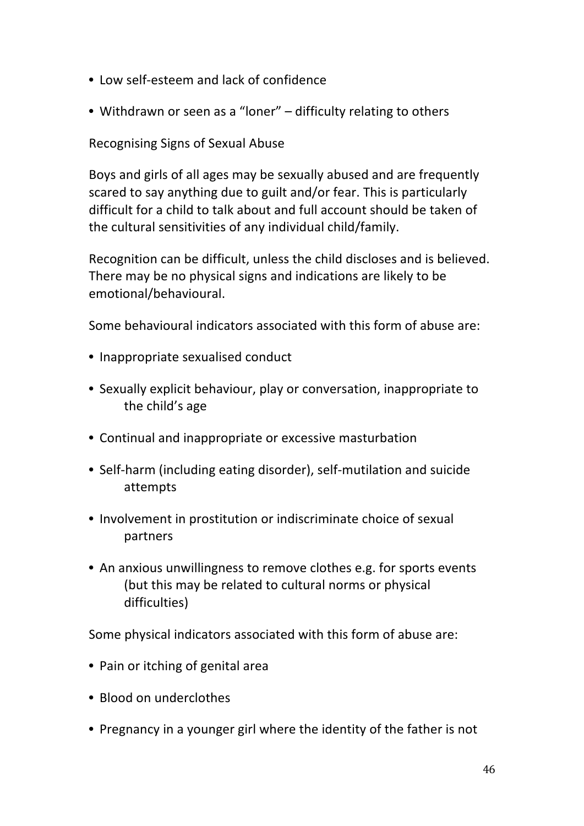- Low self-esteem and lack of confidence
- Withdrawn or seen as a "loner" difficulty relating to others

## Recognising Signs of Sexual Abuse

Boys and girls of all ages may be sexually abused and are frequently scared to say anything due to guilt and/or fear. This is particularly difficult for a child to talk about and full account should be taken of the cultural sensitivities of any individual child/family.

Recognition can be difficult, unless the child discloses and is believed. There may be no physical signs and indications are likely to be emotional/behavioural. 

Some behavioural indicators associated with this form of abuse are:

- Inappropriate sexualised conduct
- Sexually explicit behaviour, play or conversation, inappropriate to the child's age
- Continual and inappropriate or excessive masturbation
- Self-harm (including eating disorder), self-mutilation and suicide attempts
- Involvement in prostitution or indiscriminate choice of sexual partners
- An anxious unwillingness to remove clothes e.g. for sports events (but this may be related to cultural norms or physical difficulties)

Some physical indicators associated with this form of abuse are:

- Pain or itching of genital area
- Blood on underclothes
- Pregnancy in a younger girl where the identity of the father is not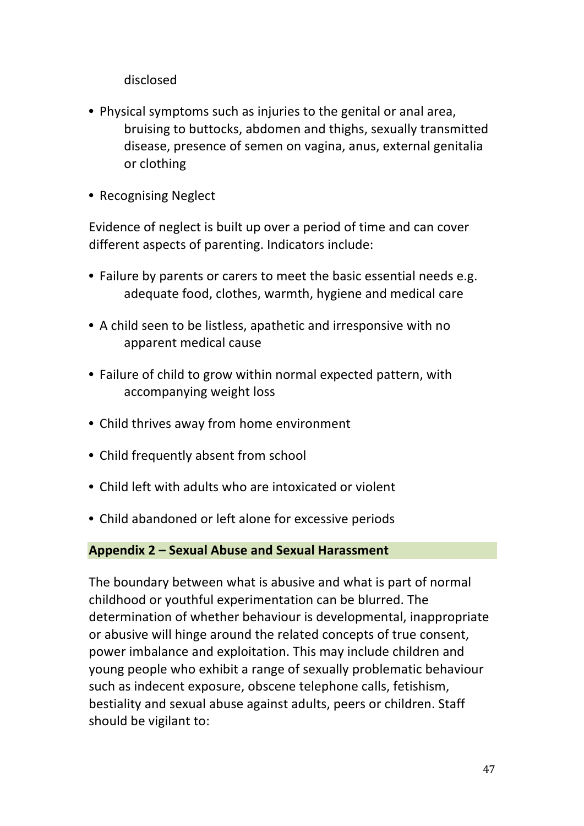disclosed 

- Physical symptoms such as injuries to the genital or anal area, bruising to buttocks, abdomen and thighs, sexually transmitted disease, presence of semen on vagina, anus, external genitalia or clothing
- Recognising Neglect

Evidence of neglect is built up over a period of time and can cover different aspects of parenting. Indicators include:

- Failure by parents or carers to meet the basic essential needs e.g. adequate food, clothes, warmth, hygiene and medical care
- A child seen to be listless, apathetic and irresponsive with no apparent medical cause
- Failure of child to grow within normal expected pattern, with accompanying weight loss
- Child thrives away from home environment
- Child frequently absent from school
- Child left with adults who are intoxicated or violent
- Child abandoned or left alone for excessive periods

#### **Appendix 2 – Sexual Abuse and Sexual Harassment**

The boundary between what is abusive and what is part of normal childhood or youthful experimentation can be blurred. The determination of whether behaviour is developmental, inappropriate or abusive will hinge around the related concepts of true consent, power imbalance and exploitation. This may include children and young people who exhibit a range of sexually problematic behaviour such as indecent exposure, obscene telephone calls, fetishism, bestiality and sexual abuse against adults, peers or children. Staff should be vigilant to: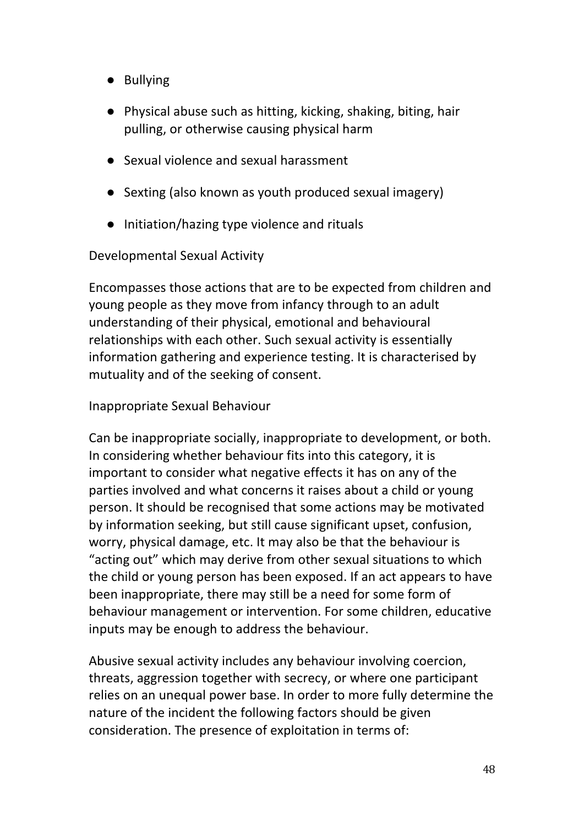- Bullying
- Physical abuse such as hitting, kicking, shaking, biting, hair pulling, or otherwise causing physical harm
- Sexual violence and sexual harassment
- Sexting (also known as youth produced sexual imagery)
- Initiation/hazing type violence and rituals

Developmental Sexual Activity

Encompasses those actions that are to be expected from children and young people as they move from infancy through to an adult understanding of their physical, emotional and behavioural relationships with each other. Such sexual activity is essentially information gathering and experience testing. It is characterised by mutuality and of the seeking of consent.

Inappropriate Sexual Behaviour 

Can be inappropriate socially, inappropriate to development, or both. In considering whether behaviour fits into this category, it is important to consider what negative effects it has on any of the parties involved and what concerns it raises about a child or young person. It should be recognised that some actions may be motivated by information seeking, but still cause significant upset, confusion, worry, physical damage, etc. It may also be that the behaviour is "acting out" which may derive from other sexual situations to which the child or young person has been exposed. If an act appears to have been inappropriate, there may still be a need for some form of behaviour management or intervention. For some children, educative inputs may be enough to address the behaviour.

Abusive sexual activity includes any behaviour involving coercion, threats, aggression together with secrecy, or where one participant relies on an unequal power base. In order to more fully determine the nature of the incident the following factors should be given consideration. The presence of exploitation in terms of: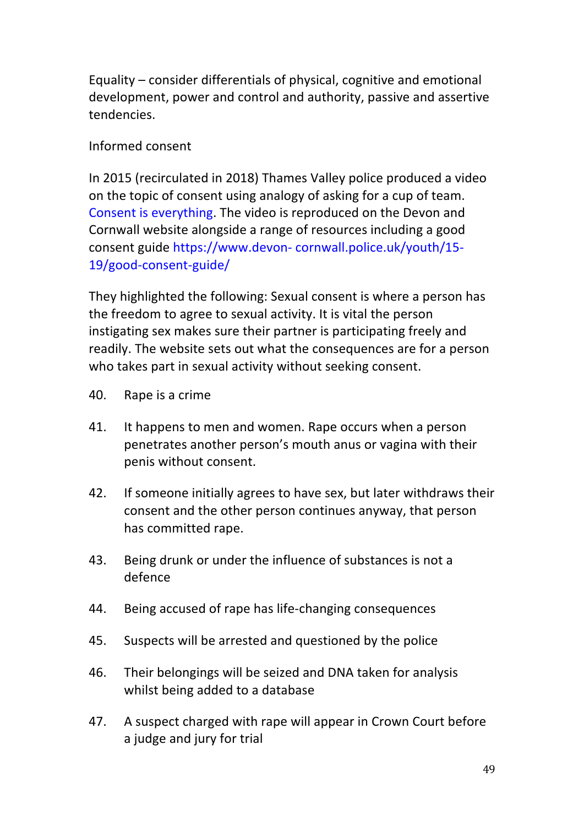Equality  $-$  consider differentials of physical, cognitive and emotional development, power and control and authority, passive and assertive tendencies. 

## Informed consent

In 2015 (recirculated in 2018) Thames Valley police produced a video on the topic of consent using analogy of asking for a cup of team. Consent is everything. The video is reproduced on the Devon and Cornwall website alongside a range of resources including a good consent guide https://www.devon- cornwall.police.uk/youth/15-19/good-consent-guide/ 

They highlighted the following: Sexual consent is where a person has the freedom to agree to sexual activity. It is vital the person instigating sex makes sure their partner is participating freely and readily. The website sets out what the consequences are for a person who takes part in sexual activity without seeking consent.

- 40. Rape is a crime
- 41. It happens to men and women. Rape occurs when a person penetrates another person's mouth anus or vagina with their penis without consent.
- 42. If someone initially agrees to have sex, but later withdraws their consent and the other person continues anyway, that person has committed rape.
- 43. Being drunk or under the influence of substances is not a defence
- 44. Being accused of rape has life-changing consequences
- 45. Suspects will be arrested and questioned by the police
- 46. Their belongings will be seized and DNA taken for analysis whilst being added to a database
- 47. A suspect charged with rape will appear in Crown Court before a judge and jury for trial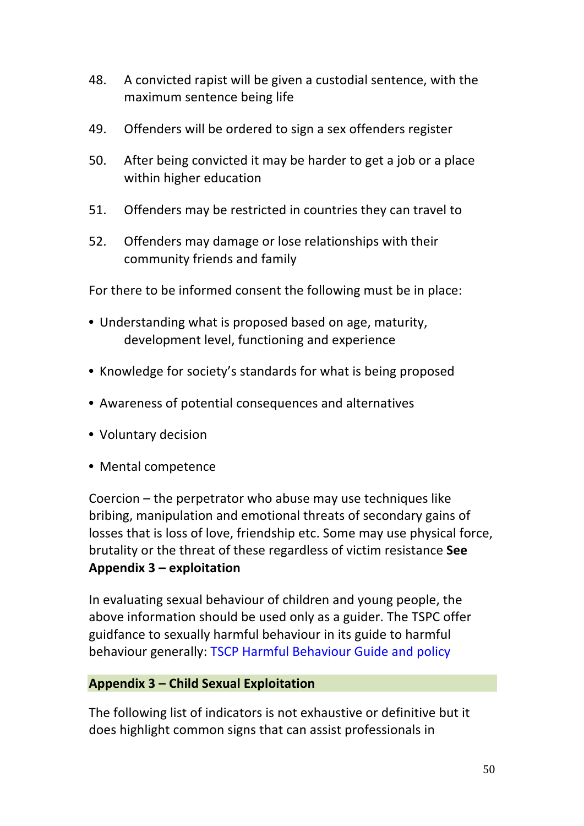- 48. A convicted rapist will be given a custodial sentence, with the maximum sentence being life
- 49. Offenders will be ordered to sign a sex offenders register
- 50. After being convicted it may be harder to get a job or a place within higher education
- 51. Offenders may be restricted in countries they can travel to
- 52. Offenders may damage or lose relationships with their community friends and family

For there to be informed consent the following must be in place:

- Understanding what is proposed based on age, maturity, development level, functioning and experience
- Knowledge for society's standards for what is being proposed
- Awareness of potential consequences and alternatives
- Voluntary decision
- Mental competence

Coercion  $-$  the perpetrator who abuse may use techniques like bribing, manipulation and emotional threats of secondary gains of losses that is loss of love, friendship etc. Some may use physical force, brutality or the threat of these regardless of victim resistance **See Appendix 3 – exploitation** 

In evaluating sexual behaviour of children and young people, the above information should be used only as a guider. The TSPC offer guidfance to sexually harmful behaviour in its guide to harmful behaviour generally: TSCP Harmful Behaviour Guide and policy

#### **Appendix 3 – Child Sexual Exploitation**

The following list of indicators is not exhaustive or definitive but it does highlight common signs that can assist professionals in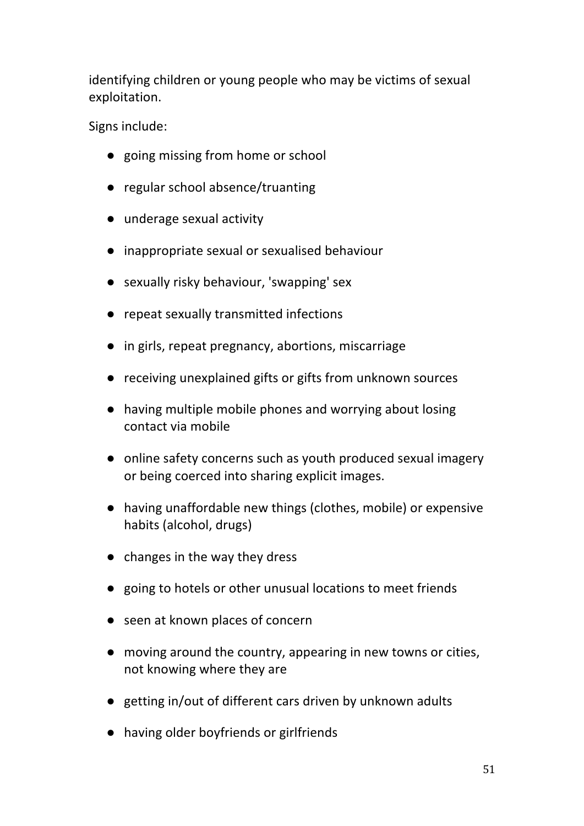identifying children or young people who may be victims of sexual exploitation. 

Signs include:

- going missing from home or school
- regular school absence/truanting
- underage sexual activity
- inappropriate sexual or sexualised behaviour
- sexually risky behaviour, 'swapping' sex
- repeat sexually transmitted infections
- in girls, repeat pregnancy, abortions, miscarriage
- receiving unexplained gifts or gifts from unknown sources
- having multiple mobile phones and worrying about losing contact via mobile
- online safety concerns such as youth produced sexual imagery or being coerced into sharing explicit images.
- having unaffordable new things (clothes, mobile) or expensive habits (alcohol, drugs)
- $\bullet$  changes in the way they dress
- going to hotels or other unusual locations to meet friends
- seen at known places of concern
- moving around the country, appearing in new towns or cities, not knowing where they are
- getting in/out of different cars driven by unknown adults
- having older boyfriends or girlfriends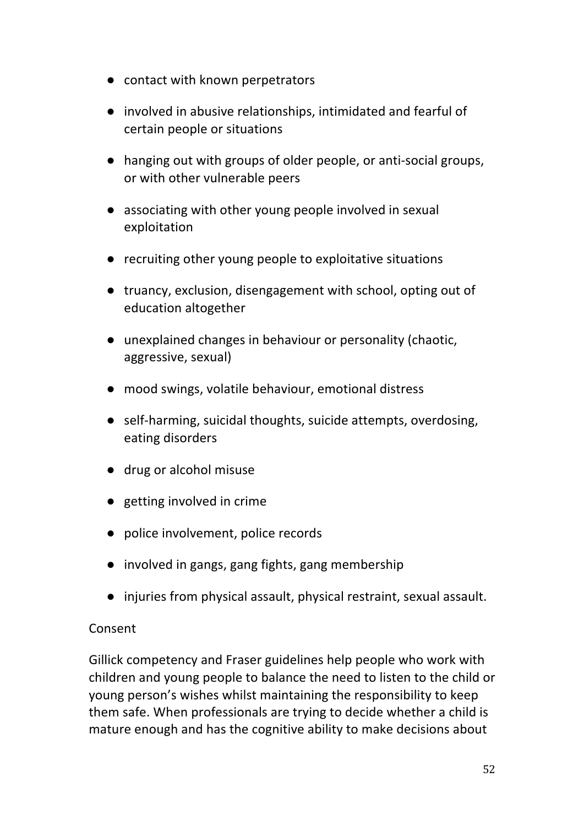- contact with known perpetrators
- involved in abusive relationships, intimidated and fearful of certain people or situations
- hanging out with groups of older people, or anti-social groups, or with other vulnerable peers
- associating with other young people involved in sexual exploitation
- recruiting other young people to exploitative situations
- truancy, exclusion, disengagement with school, opting out of education altogether
- unexplained changes in behaviour or personality (chaotic, aggressive, sexual)
- mood swings, volatile behaviour, emotional distress
- self-harming, suicidal thoughts, suicide attempts, overdosing, eating disorders
- drug or alcohol misuse
- getting involved in crime
- police involvement, police records
- involved in gangs, gang fights, gang membership
- injuries from physical assault, physical restraint, sexual assault.

## Consent

Gillick competency and Fraser guidelines help people who work with children and young people to balance the need to listen to the child or young person's wishes whilst maintaining the responsibility to keep them safe. When professionals are trying to decide whether a child is mature enough and has the cognitive ability to make decisions about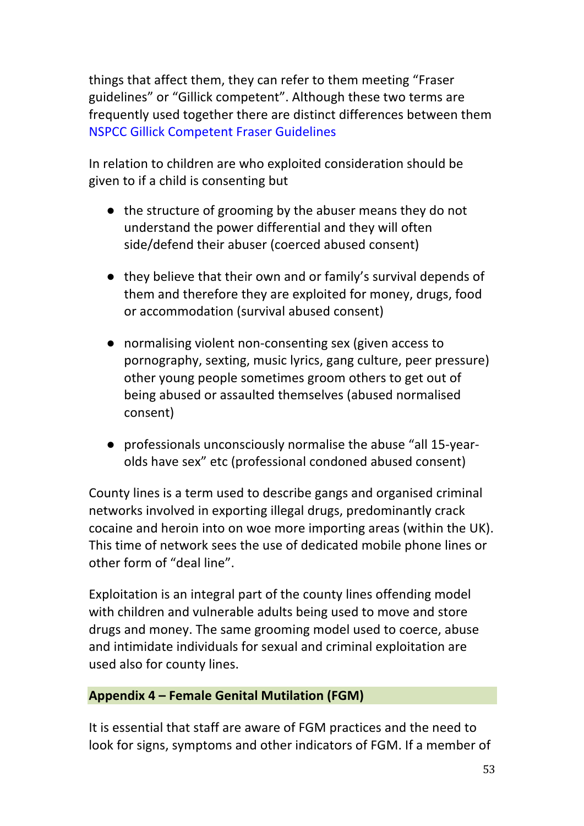things that affect them, they can refer to them meeting "Fraser guidelines" or "Gillick competent". Although these two terms are frequently used together there are distinct differences between them **NSPCC Gillick Competent Fraser Guidelines** 

In relation to children are who exploited consideration should be given to if a child is consenting but

- the structure of grooming by the abuser means they do not understand the power differential and they will often side/defend their abuser (coerced abused consent)
- they believe that their own and or family's survival depends of them and therefore they are exploited for money, drugs, food or accommodation (survival abused consent)
- normalising violent non-consenting sex (given access to pornography, sexting, music lyrics, gang culture, peer pressure) other young people sometimes groom others to get out of being abused or assaulted themselves (abused normalised consent)
- professionals unconsciously normalise the abuse "all 15-yearolds have sex" etc (professional condoned abused consent)

County lines is a term used to describe gangs and organised criminal networks involved in exporting illegal drugs, predominantly crack cocaine and heroin into on woe more importing areas (within the UK). This time of network sees the use of dedicated mobile phone lines or other form of "deal line".

Exploitation is an integral part of the county lines offending model with children and vulnerable adults being used to move and store drugs and money. The same grooming model used to coerce, abuse and intimidate individuals for sexual and criminal exploitation are used also for county lines.

#### **Appendix 4 – Female Genital Mutilation (FGM)**

It is essential that staff are aware of FGM practices and the need to look for signs, symptoms and other indicators of FGM. If a member of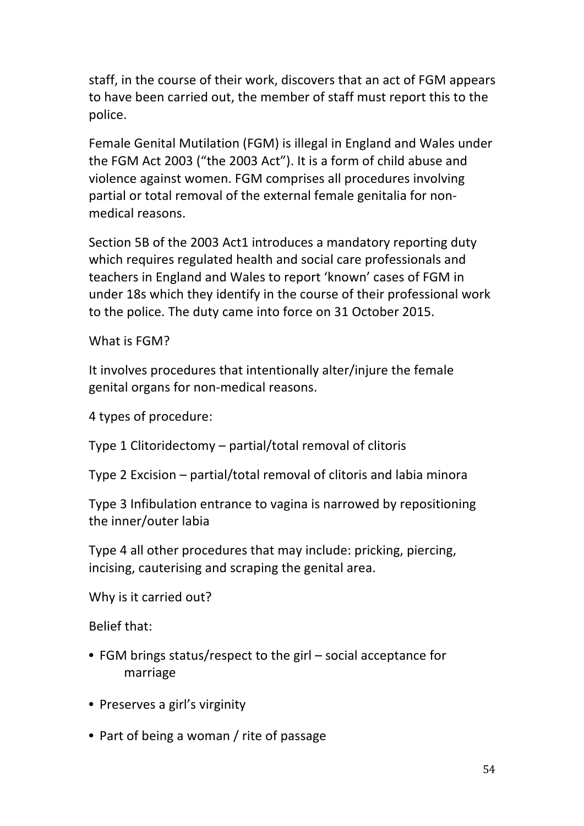staff, in the course of their work, discovers that an act of FGM appears to have been carried out, the member of staff must report this to the police. 

Female Genital Mutilation (FGM) is illegal in England and Wales under the FGM Act 2003 ("the 2003 Act"). It is a form of child abuse and violence against women. FGM comprises all procedures involving partial or total removal of the external female genitalia for nonmedical reasons.

Section 5B of the 2003 Act1 introduces a mandatory reporting duty which requires regulated health and social care professionals and teachers in England and Wales to report 'known' cases of FGM in under 18s which they identify in the course of their professional work to the police. The duty came into force on 31 October 2015.

What is FGM?

It involves procedures that intentionally alter/injure the female genital organs for non-medical reasons.

4 types of procedure:

Type 1 Clitoridectomy  $-$  partial/total removal of clitoris

Type 2 Excision  $-$  partial/total removal of clitoris and labia minora

Type 3 Infibulation entrance to vagina is narrowed by repositioning the inner/outer labia

Type 4 all other procedures that may include: pricking, piercing, incising, cauterising and scraping the genital area.

Why is it carried out?

Belief that:

- FGM brings status/respect to the girl social acceptance for marriage
- Preserves a girl's virginity
- Part of being a woman / rite of passage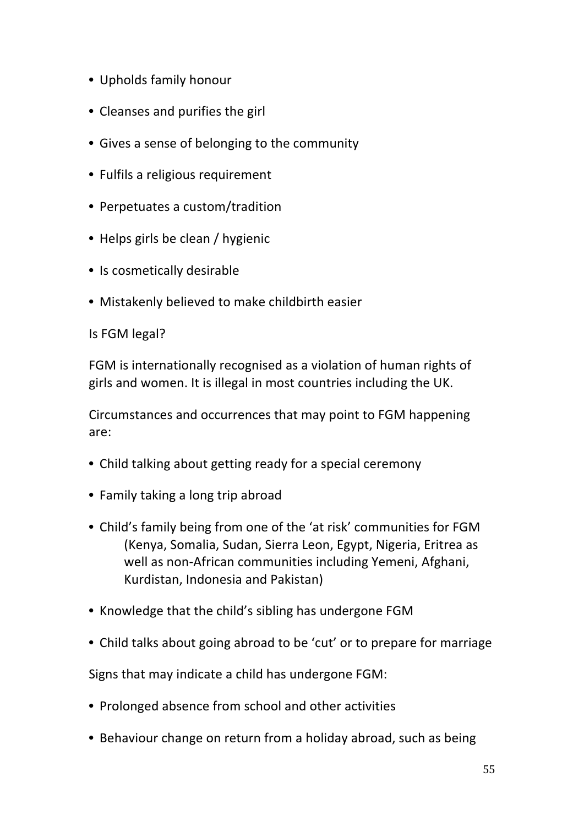- Upholds family honour
- Cleanses and purifies the girl
- Gives a sense of belonging to the community
- Fulfils a religious requirement
- Perpetuates a custom/tradition
- Helps girls be clean / hygienic
- Is cosmetically desirable
- Mistakenly believed to make childbirth easier

Is FGM legal?

FGM is internationally recognised as a violation of human rights of girls and women. It is illegal in most countries including the UK.

Circumstances and occurrences that may point to FGM happening are: 

- Child talking about getting ready for a special ceremony
- Family taking a long trip abroad
- Child's family being from one of the 'at risk' communities for FGM (Kenya, Somalia, Sudan, Sierra Leon, Egypt, Nigeria, Eritrea as well as non-African communities including Yemeni, Afghani, Kurdistan, Indonesia and Pakistan)
- Knowledge that the child's sibling has undergone FGM
- Child talks about going abroad to be 'cut' or to prepare for marriage

Signs that may indicate a child has undergone FGM:

- Prolonged absence from school and other activities
- Behaviour change on return from a holiday abroad, such as being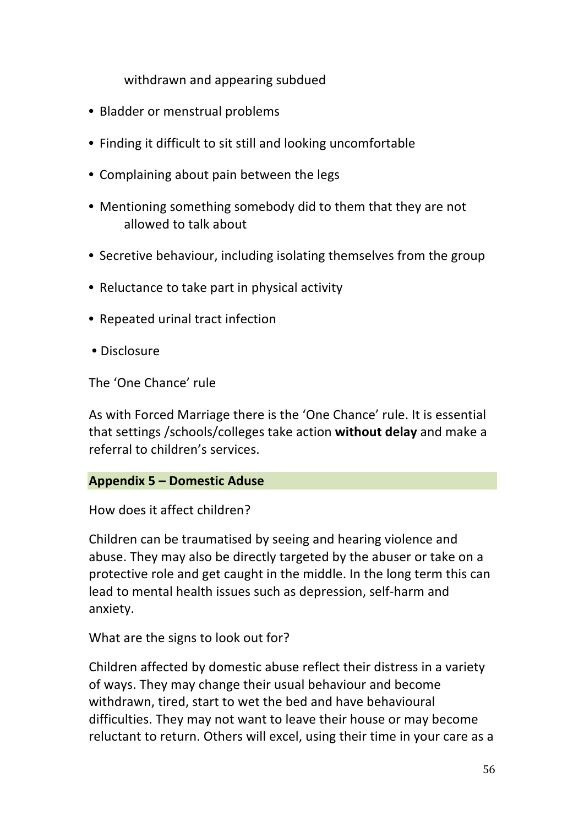withdrawn and appearing subdued

- Bladder or menstrual problems
- Finding it difficult to sit still and looking uncomfortable
- Complaining about pain between the legs
- Mentioning something somebody did to them that they are not allowed to talk about
- Secretive behaviour, including isolating themselves from the group
- Reluctance to take part in physical activity
- Repeated urinal tract infection
- Disclosure

The 'One Chance' rule

As with Forced Marriage there is the 'One Chance' rule. It is essential that settings /schools/colleges take action **without delay** and make a referral to children's services.

#### **Appendix 5 – Domestic Aduse**

How does it affect children?

Children can be traumatised by seeing and hearing violence and abuse. They may also be directly targeted by the abuser or take on a protective role and get caught in the middle. In the long term this can lead to mental health issues such as depression, self-harm and anxiety. 

What are the signs to look out for?

Children affected by domestic abuse reflect their distress in a variety of ways. They may change their usual behaviour and become withdrawn, tired, start to wet the bed and have behavioural difficulties. They may not want to leave their house or may become reluctant to return. Others will excel, using their time in your care as a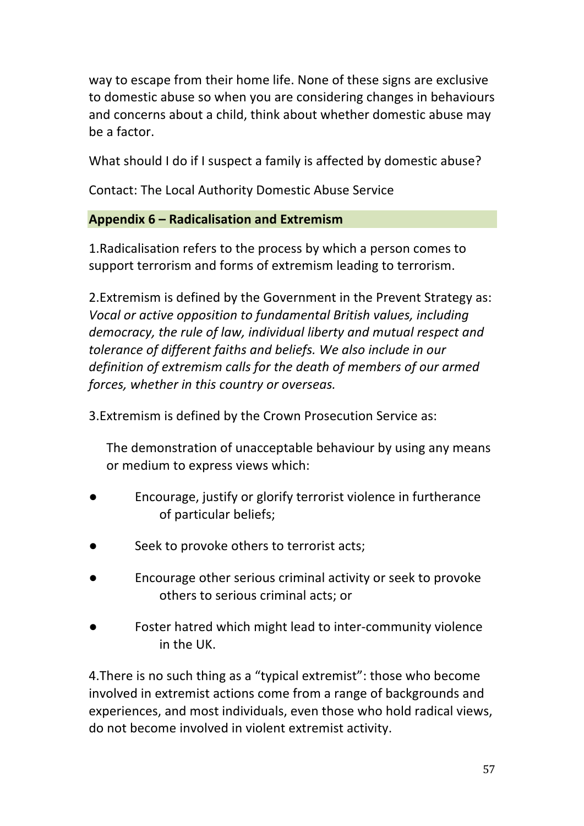way to escape from their home life. None of these signs are exclusive to domestic abuse so when you are considering changes in behaviours and concerns about a child, think about whether domestic abuse may be a factor. 

What should I do if I suspect a family is affected by domestic abuse?

Contact: The Local Authority Domestic Abuse Service

## **Appendix 6 – Radicalisation and Extremism**

1. Radicalisation refers to the process by which a person comes to support terrorism and forms of extremism leading to terrorism.

2. Extremism is defined by the Government in the Prevent Strategy as: *Vocal* or active opposition to fundamental British values, including democracy, the rule of law, individual liberty and mutual respect and *tolerance of different faiths and beliefs. We also include in our* definition of extremism calls for the death of members of our armed *forces, whether in this country or overseas.* 

3. Extremism is defined by the Crown Prosecution Service as:

The demonstration of unacceptable behaviour by using any means or medium to express views which:

- Encourage, justify or glorify terrorist violence in furtherance of particular beliefs;
- Seek to provoke others to terrorist acts;
- Encourage other serious criminal activity or seek to provoke others to serious criminal acts; or
- Foster hatred which might lead to inter-community violence in the UK.

4. There is no such thing as a "typical extremist": those who become involved in extremist actions come from a range of backgrounds and experiences, and most individuals, even those who hold radical views, do not become involved in violent extremist activity.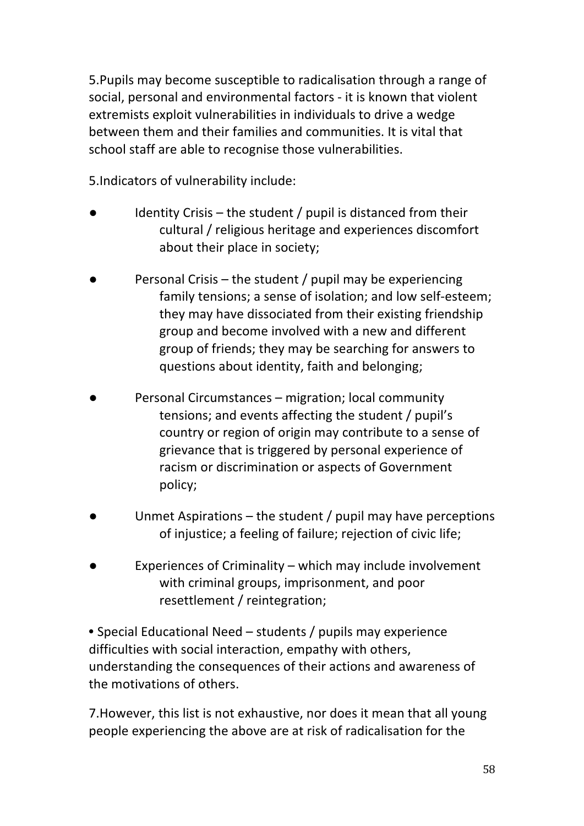5. Pupils may become susceptible to radicalisation through a range of social, personal and environmental factors - it is known that violent extremists exploit vulnerabilities in individuals to drive a wedge between them and their families and communities. It is vital that school staff are able to recognise those vulnerabilities.

5. Indicators of vulnerability include:

- Identity Crisis the student  $/$  pupil is distanced from their cultural / religious heritage and experiences discomfort about their place in society;
- Personal Crisis the student / pupil may be experiencing family tensions; a sense of isolation; and low self-esteem; they may have dissociated from their existing friendship group and become involved with a new and different group of friends; they may be searching for answers to questions about identity, faith and belonging;
- Personal Circumstances migration; local community tensions; and events affecting the student / pupil's country or region of origin may contribute to a sense of grievance that is triggered by personal experience of racism or discrimination or aspects of Government policy;
- Unmet Aspirations the student  $/$  pupil may have perceptions of injustice; a feeling of failure; rejection of civic life;
- Experiences of Criminality  $-$  which may include involvement with criminal groups, imprisonment, and poor resettlement / reintegration;

• Special Educational Need – students / pupils may experience difficulties with social interaction, empathy with others, understanding the consequences of their actions and awareness of the motivations of others.

7. However, this list is not exhaustive, nor does it mean that all young people experiencing the above are at risk of radicalisation for the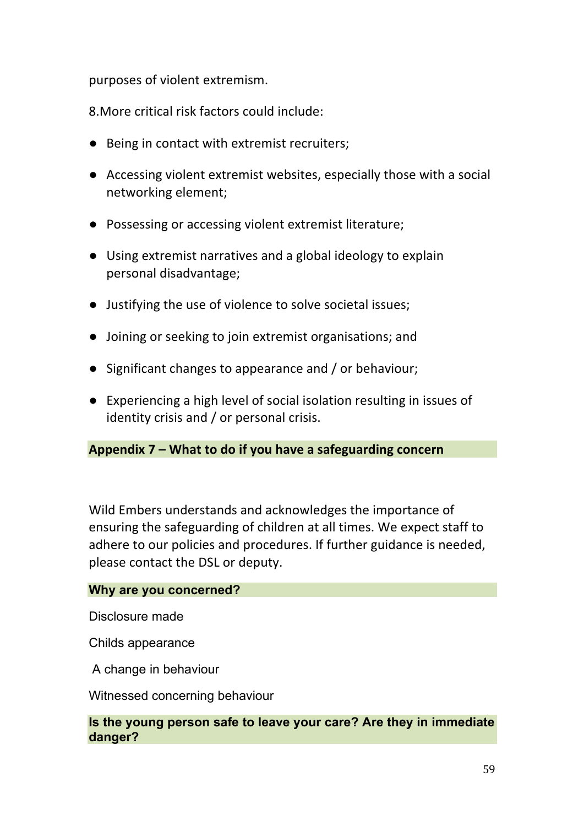purposes of violent extremism.

8. More critical risk factors could include:

- Being in contact with extremist recruiters;
- Accessing violent extremist websites, especially those with a social networking element;
- Possessing or accessing violent extremist literature;
- Using extremist narratives and a global ideology to explain personal disadvantage;
- Justifying the use of violence to solve societal issues;
- Joining or seeking to join extremist organisations; and
- Significant changes to appearance and / or behaviour;
- Experiencing a high level of social isolation resulting in issues of identity crisis and  $/$  or personal crisis.

## Appendix 7 – What to do if you have a safeguarding concern

Wild Embers understands and acknowledges the importance of ensuring the safeguarding of children at all times. We expect staff to adhere to our policies and procedures. If further guidance is needed, please contact the DSL or deputy.

#### **Why are you concerned?**

Disclosure made

Childs appearance

A change in behaviour

Witnessed concerning behaviour

#### **Is the young person safe to leave your care? Are they in immediate danger?**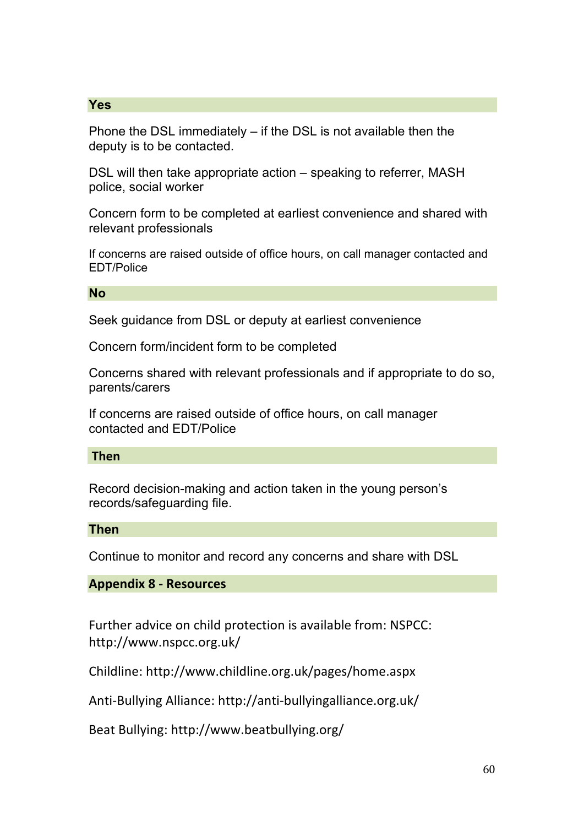#### **Yes**

Phone the DSL immediately – if the DSL is not available then the deputy is to be contacted.

DSL will then take appropriate action – speaking to referrer, MASH police, social worker

Concern form to be completed at earliest convenience and shared with relevant professionals

If concerns are raised outside of office hours, on call manager contacted and EDT/Police

**No** 

Seek guidance from DSL or deputy at earliest convenience

Concern form/incident form to be completed

Concerns shared with relevant professionals and if appropriate to do so, parents/carers

If concerns are raised outside of office hours, on call manager contacted and EDT/Police

**Then**

Record decision-making and action taken in the young person's records/safeguarding file.

#### **Then**

Continue to monitor and record any concerns and share with DSL

#### **Appendix 8 - Resources**

Further advice on child protection is available from: NSPCC: http://www.nspcc.org.uk/ 

Childline: http://www.childline.org.uk/pages/home.aspx 

Anti-Bullying Alliance: http://anti-bullyingalliance.org.uk/

Beat Bullying: http://www.beatbullying.org/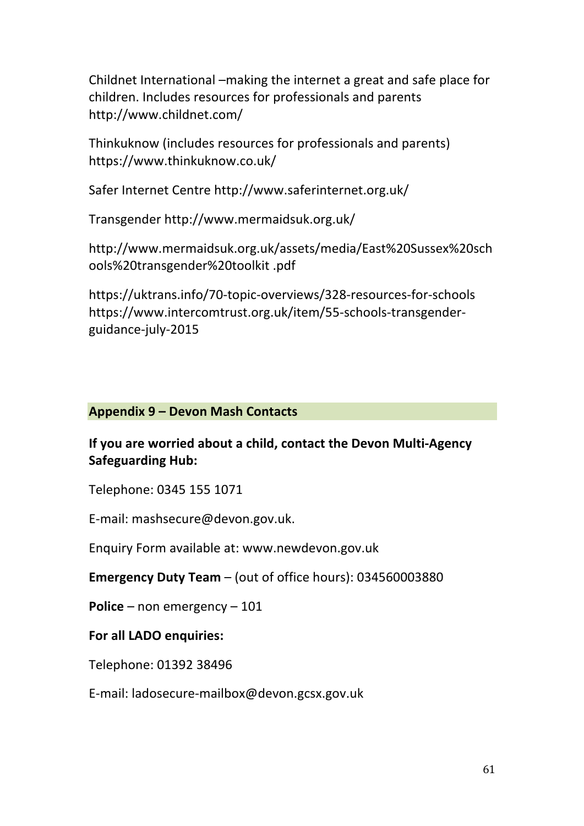Childnet International –making the internet a great and safe place for children. Includes resources for professionals and parents http://www.childnet.com/ 

Thinkuknow (includes resources for professionals and parents) https://www.thinkuknow.co.uk/ 

Safer Internet Centre http://www.saferinternet.org.uk/

Transgender http://www.mermaidsuk.org.uk/ 

http://www.mermaidsuk.org.uk/assets/media/East%20Sussex%20sch ools%20transgender%20toolkit .pdf

https://uktrans.info/70-topic-overviews/328-resources-for-schools https://www.intercomtrust.org.uk/item/55-schools-transgenderguidance-july-2015 

## **Appendix 9 – Devon Mash Contacts**

## **If you are worried about a child, contact the Devon Multi-Agency Safeguarding Hub:**

Telephone: 0345 155 1071 

E-mail: mashsecure@devon.gov.uk.

Enquiry Form available at: www.newdevon.gov.uk

**Emergency Duty Team** – (out of office hours): 034560003880

**Police** – non emergency – 101

## **For all LADO enquiries:**

Telephone: 01392 38496 

E-mail: ladosecure-mailbox@devon.gcsx.gov.uk